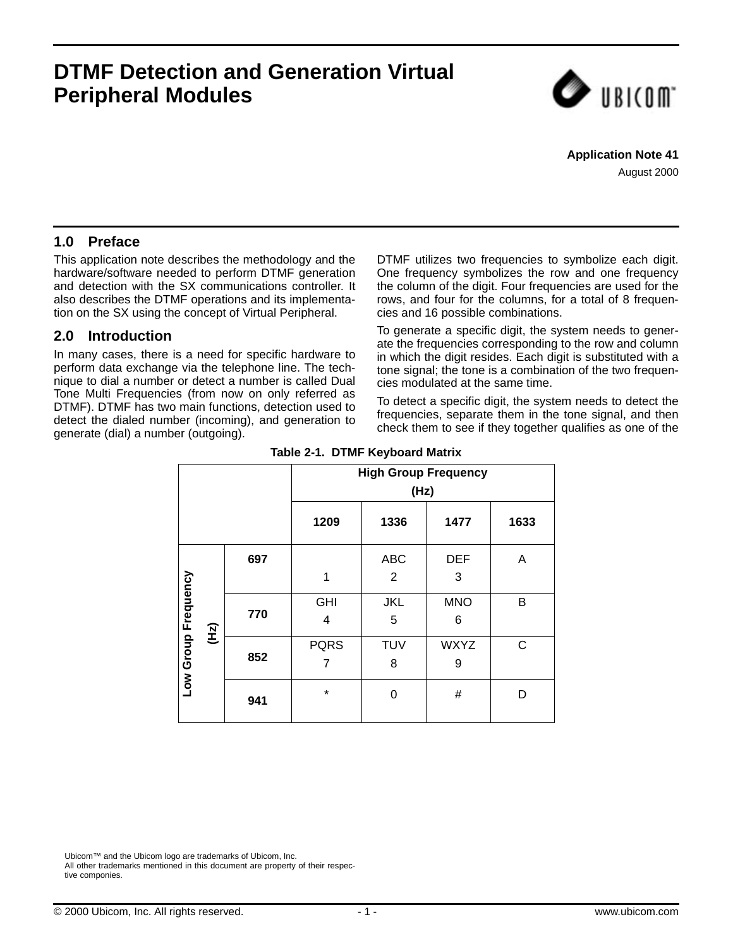# **DTMF Detection and Generation Virtual Peripheral Modules**



**Application Note 41** August 2000

## **1.0 Preface**

This application note describes the methodology and the hardware/software needed to perform DTMF generation and detection with the SX communications controller. It also describes the DTMF operations and its implementation on the SX using the concept of Virtual Peripheral.

## **2.0 Introduction**

<span id="page-0-0"></span>In many cases, there is a need for specific hardware to perform data exchange via the telephone line. The technique to dial a number or detect a number is called Dual Tone Multi Frequencies (from now on only referred as DTMF). DTMF has two main functions, detection used to detect the dialed number (incoming), and generation to generate (dial) a number (outgoing).

DTMF utilizes two frequencies to symbolize each digit. One frequency symbolizes the row and one frequency the column of the digit. Four frequencies are used for the rows, and four for the columns, for a total of 8 frequencies and 16 possible combinations.

To generate a specific digit, the system needs to generate the frequencies corresponding to the row and column in which the digit resides. Each digit is substituted with a tone signal; the tone is a combination of the two frequencies modulated at the same time.

To detect a specific digit, the system needs to detect the frequencies, separate them in the tone signal, and then check them to see if they together qualifies as one of the

|                              |     | <b>High Group Frequency</b><br>(Hz) |                              |                  |   |  |  |  |  |  |
|------------------------------|-----|-------------------------------------|------------------------------|------------------|---|--|--|--|--|--|
|                              |     | 1209                                | 1336<br>1477<br>1633         |                  |   |  |  |  |  |  |
|                              | 697 |                                     | <b>ABC</b><br>$\overline{2}$ | <b>DEF</b><br>3  | A |  |  |  |  |  |
| Low Group Frequency<br>(112) | 770 | <b>GHI</b><br>4                     | JKL<br>5                     | <b>MNO</b><br>6  | B |  |  |  |  |  |
|                              | 852 | <b>PQRS</b><br>7                    | <b>TUV</b><br>8              | <b>WXYZ</b><br>9 | C |  |  |  |  |  |
|                              | 941 | $\star$                             | 0                            | #                | D |  |  |  |  |  |

#### **Table 2-1. DTMF Keyboard Matrix**

Ubicom™ and the Ubicom logo are trademarks of Ubicom, Inc. All other trademarks mentioned in this document are property of their respective componies.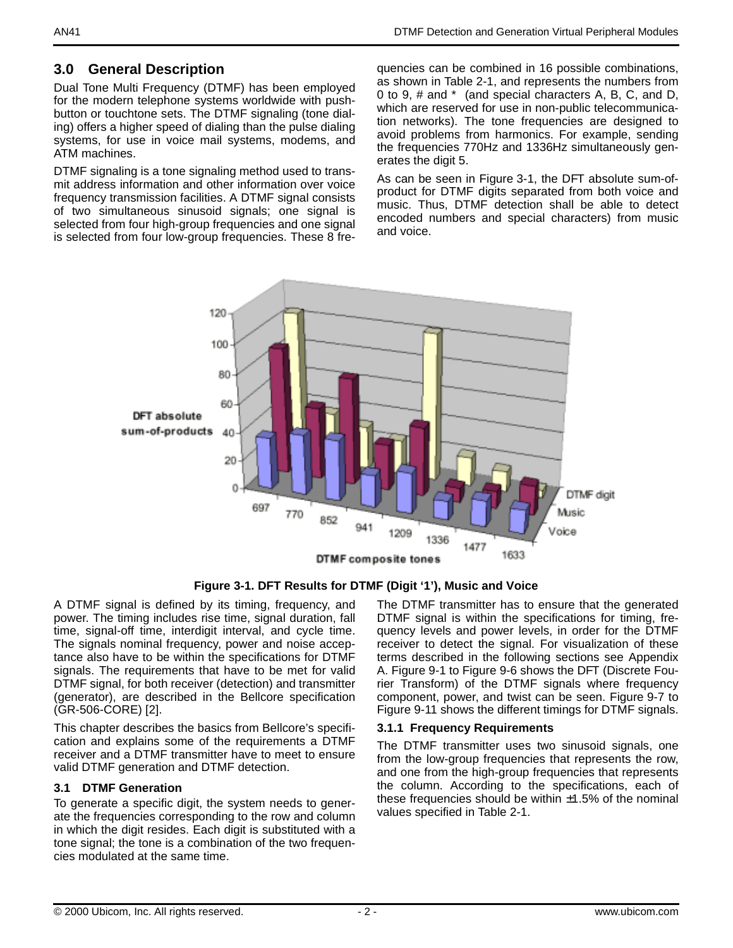## **3.0 General Description**

Dual Tone Multi Frequency (DTMF) has been employed for the modern telephone systems worldwide with pushbutton or touchtone sets. The DTMF signaling (tone dialing) offers a higher speed of dialing than the pulse dialing systems, for use in voice mail systems, modems, and ATM machines.

DTMF signaling is a tone signaling method used to transmit address information and other information over voice frequency transmission facilities. A DTMF signal consists of two simultaneous sinusoid signals; one signal is selected from four high-group frequencies and one signal is selected from four low-group frequencies. These 8 frequencies can be combined in 16 possible combinations, as shown in [Table 2-1](#page-0-0), and represents the numbers from 0 to 9, # and \* (and special characters A, B, C, and D, which are reserved for use in non-public telecommunication networks). The tone frequencies are designed to avoid problems from harmonics. For example, sending the frequencies 770Hz and 1336Hz simultaneously generates the digit 5.

As can be seen in [Figure 3-1](#page-1-0), the DFT absolute sum-ofproduct for DTMF digits separated from both voice and music. Thus, DTMF detection shall be able to detect encoded numbers and special characters) from music and voice.



**Figure 3-1. DFT Results for DTMF (Digit '1'), Music and Voice**

<span id="page-1-0"></span>A DTMF signal is defined by its timing, frequency, and power. The timing includes rise time, signal duration, fall time, signal-off time, interdigit interval, and cycle time. The signals nominal frequency, power and noise acceptance also have to be within the specifications for DTMF signals. The requirements that have to be met for valid DTMF signal, for both receiver (detection) and transmitter (generator), are described in the Bellcore specification (GR-506-CORE) [2].

This chapter describes the basics from Bellcore's specification and explains some of the requirements a DTMF receiver and a DTMF transmitter have to meet to ensure valid DTMF generation and DTMF detection.

#### **3.1 DTMF Generation**

To generate a specific digit, the system needs to generate the frequencies corresponding to the row and column in which the digit resides. Each digit is substituted with a tone signal; the tone is a combination of the two frequencies modulated at the same time.

The DTMF transmitter has to ensure that the generated DTMF signal is within the specifications for timing, frequency levels and power levels, in order for the DTMF receiver to detect the signal. For visualization of these terms described in the following sections see Appendix A. [Figure 9-1](#page-28-0) to [Figure 9-6](#page-31-0) shows the DFT (Discrete Fourier Transform) of the DTMF signals where frequency component, power, and twist can be seen. [Figure 9-7](#page-31-1) to [Figure 9-11](#page-33-0) shows the different timings for DTMF signals.

#### **3.1.1 Frequency Requirements**

The DTMF transmitter uses two sinusoid signals, one from the low-group frequencies that represents the row, and one from the high-group frequencies that represents the column. According to the specifications, each of these frequencies should be within  $\pm 1.5\%$  of the nominal values specified in [Table 2-1.](#page-0-0)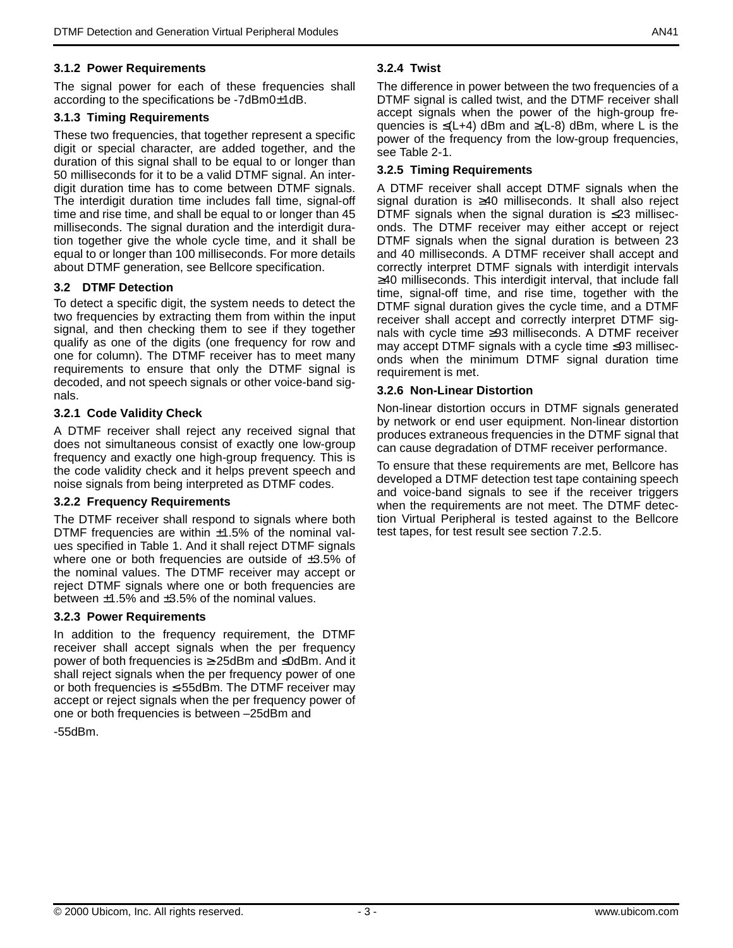#### **3.1.2 Power Requirements**

The signal power for each of these frequencies shall according to the specifications be -7dBm0±1dB.

#### **3.1.3 Timing Requirements**

These two frequencies, that together represent a specific digit or special character, are added together, and the duration of this signal shall to be equal to or longer than 50 milliseconds for it to be a valid DTMF signal. An interdigit duration time has to come between DTMF signals. The interdigit duration time includes fall time, signal-off time and rise time, and shall be equal to or longer than 45 milliseconds. The signal duration and the interdigit duration together give the whole cycle time, and it shall be equal to or longer than 100 milliseconds. For more details about DTMF generation, see Bellcore specification.

#### **3.2 DTMF Detection**

To detect a specific digit, the system needs to detect the two frequencies by extracting them from within the input signal, and then checking them to see if they together qualify as one of the digits (one frequency for row and one for column). The DTMF receiver has to meet many requirements to ensure that only the DTMF signal is decoded, and not speech signals or other voice-band signals.

#### **3.2.1 Code Validity Check**

A DTMF receiver shall reject any received signal that does not simultaneous consist of exactly one low-group frequency and exactly one high-group frequency. This is the code validity check and it helps prevent speech and noise signals from being interpreted as DTMF codes.

#### **3.2.2 Frequency Requirements**

The DTMF receiver shall respond to signals where both DTMF frequencies are within  $\pm 1.5\%$  of the nominal values specified in Table 1. And it shall reject DTMF signals where one or both frequencies are outside of  $\pm 3.5\%$  of the nominal values. The DTMF receiver may accept or reject DTMF signals where one or both frequencies are between  $\pm 1.5\%$  and  $\pm 3.5\%$  of the nominal values.

#### **3.2.3 Power Requirements**

In addition to the frequency requirement, the DTMF receiver shall accept signals when the per frequency power of both frequencies is ≥-25dBm and ≤0dBm. And it shall reject signals when the per frequency power of one or both frequencies is ≤-55dBm. The DTMF receiver may accept or reject signals when the per frequency power of one or both frequencies is between –25dBm and -55dBm.

#### **3.2.4 Twist**

The difference in power between the two frequencies of a DTMF signal is called twist, and the DTMF receiver shall accept signals when the power of the high-group frequencies is  $\leq (L+4)$  dBm and  $\geq (L-8)$  dBm, where L is the power of the frequency from the low-group frequencies, see [Table 2-1.](#page-0-0)

#### **3.2.5 Timing Requirements**

A DTMF receiver shall accept DTMF signals when the signal duration is ≥40 milliseconds. It shall also reject DTMF signals when the signal duration is  $\leq 23$  milliseconds. The DTMF receiver may either accept or reject DTMF signals when the signal duration is between 23 and 40 milliseconds. A DTMF receiver shall accept and correctly interpret DTMF signals with interdigit intervals ≥40 milliseconds. This interdigit interval, that include fall time, signal-off time, and rise time, together with the DTMF signal duration gives the cycle time, and a DTMF receiver shall accept and correctly interpret DTMF signals with cycle time ≥93 milliseconds. A DTMF receiver may accept DTMF signals with a cycle time ≤93 milliseconds when the minimum DTMF signal duration time requirement is met.

#### **3.2.6 Non-Linear Distortion**

Non-linear distortion occurs in DTMF signals generated by network or end user equipment. Non-linear distortion produces extraneous frequencies in the DTMF signal that can cause degradation of DTMF receiver performance.

To ensure that these requirements are met, Bellcore has developed a DTMF detection test tape containing speech and voice-band signals to see if the receiver triggers when the requirements are not meet. The DTMF detection Virtual Peripheral is tested against to the Bellcore test tapes, for test result see section 7.2.5.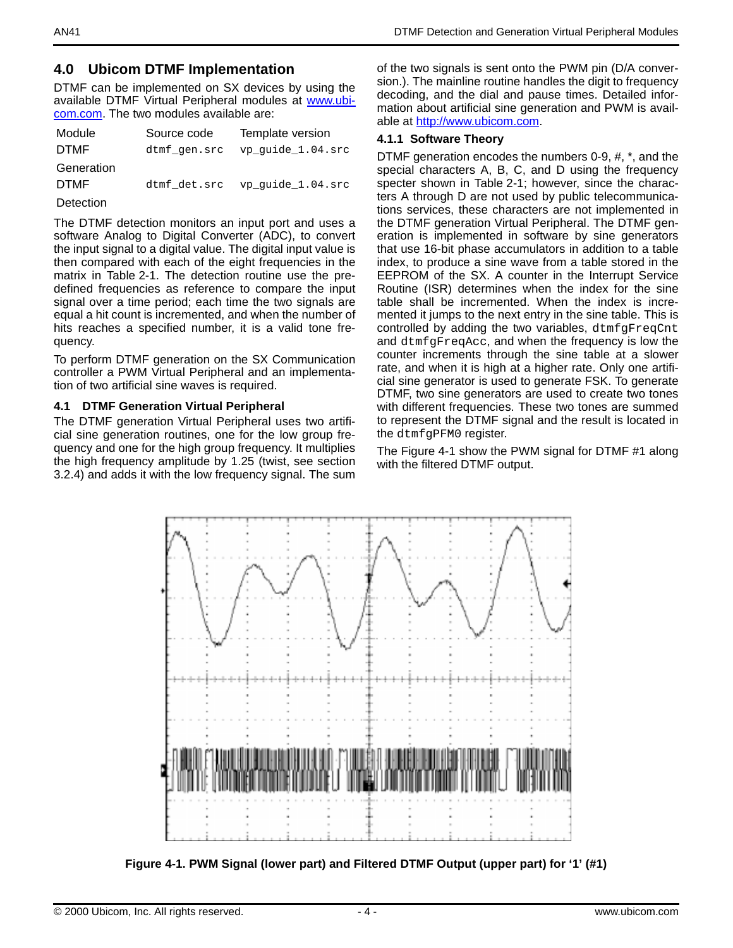## **4.0 Ubicom DTMF Implementation**

DTMF can be implemented on SX devices by using the available DTMF Virtual Peripheral modules at www.ubicom.com. The two modules available are:

| Module      | Source code  | Template version  |
|-------------|--------------|-------------------|
| <b>DTMF</b> | dtmf gen.src | vp quide 1.04.src |
| Generation  |              |                   |
| <b>DTMF</b> | dtmf det.src | vp_quide_1.04.src |
| Detection   |              |                   |

The DTMF detection monitors an input port and uses a software Analog to Digital Converter (ADC), to convert the input signal to a digital value. The digital input value is then compared with each of the eight frequencies in the matrix in [Table 2-1](#page-0-0). The detection routine use the predefined frequencies as reference to compare the input signal over a time period; each time the two signals are equal a hit count is incremented, and when the number of hits reaches a specified number, it is a valid tone frequency.

To perform DTMF generation on the SX Communication controller a PWM Virtual Peripheral and an implementation of two artificial sine waves is required.

#### **4.1 DTMF Generation Virtual Peripheral**

The DTMF generation Virtual Peripheral uses two artificial sine generation routines, one for the low group frequency and one for the high group frequency. It multiplies the high frequency amplitude by 1.25 (twist, see section 3.2.4) and adds it with the low frequency signal. The sum

of the two signals is sent onto the PWM pin (D/A conversion.). The mainline routine handles the digit to frequency decoding, and the dial and pause times. Detailed information about artificial sine generation and PWM is available at http://www.ubicom.com.

#### **4.1.1 Software Theory**

DTMF generation encodes the numbers 0-9, #, \*, and the special characters A, B, C, and D using the frequency specter shown in [Table 2-1;](#page-0-0) however, since the characters A through D are not used by public telecommunications services, these characters are not implemented in the DTMF generation Virtual Peripheral. The DTMF generation is implemented in software by sine generators that use 16-bit phase accumulators in addition to a table index, to produce a sine wave from a table stored in the EEPROM of the SX. A counter in the Interrupt Service Routine (ISR) determines when the index for the sine table shall be incremented. When the index is incremented it jumps to the next entry in the sine table. This is controlled by adding the two variables, dtmfgFreqCnt and dtmfgFreqAcc, and when the frequency is low the counter increments through the sine table at a slower rate, and when it is high at a higher rate. Only one artificial sine generator is used to generate FSK. To generate DTMF, two sine generators are used to create two tones with different frequencies. These two tones are summed to represent the DTMF signal and the result is located in the dtmfgPFM0 register.

The [Figure 4-1](#page-3-0) show the PWM signal for DTMF #1 along with the filtered DTMF output.



<span id="page-3-0"></span>**Figure 4-1. PWM Signal (lower part) and Filtered DTMF Output (upper part) for '1' (#1)**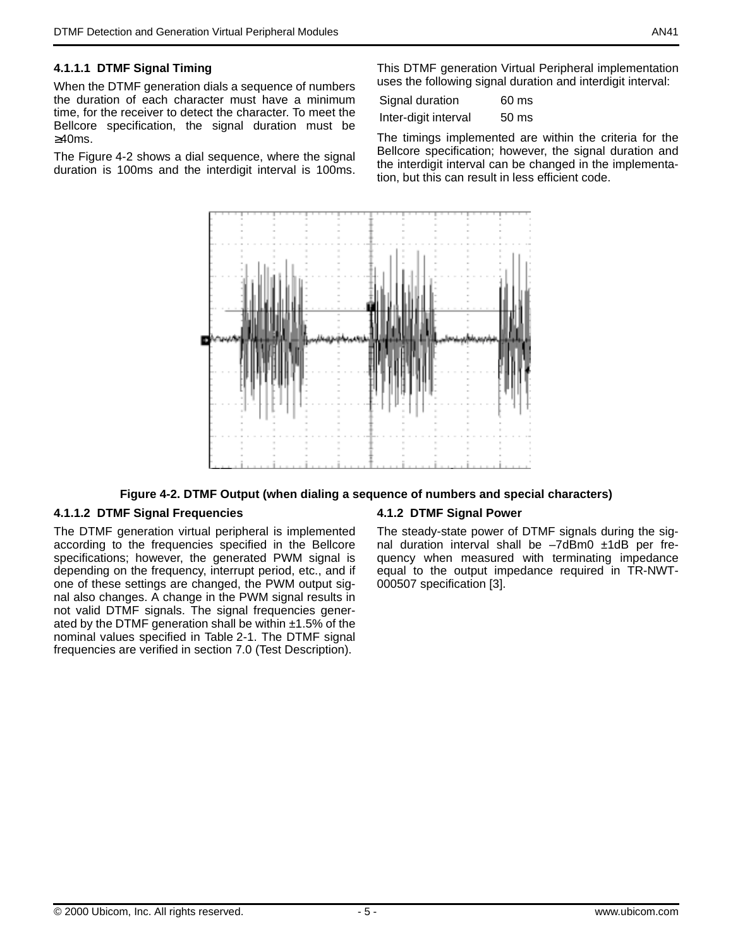#### **4.1.1.1 DTMF Signal Timing**

When the DTMF generation dials a sequence of numbers the duration of each character must have a minimum time, for the receiver to detect the character. To meet the Bellcore specification, the signal duration must be ≥40ms.

The [Figure 4-2](#page-4-0) shows a dial sequence, where the signal duration is 100ms and the interdigit interval is 100ms.

This DTMF generation Virtual Peripheral implementation uses the following signal duration and interdigit interval:

| Signal duration      | $60 \text{ ms}$  |
|----------------------|------------------|
| Inter-digit interval | 50 <sub>ms</sub> |

The timings implemented are within the criteria for the Bellcore specification; however, the signal duration and the interdigit interval can be changed in the implementation, but this can result in less efficient code.



#### **Figure 4-2. DTMF Output (when dialing a sequence of numbers and special characters)**

#### <span id="page-4-0"></span>**4.1.1.2 DTMF Signal Frequencies**

The DTMF generation virtual peripheral is implemented according to the frequencies specified in the Bellcore specifications; however, the generated PWM signal is depending on the frequency, interrupt period, etc., and if one of these settings are changed, the PWM output signal also changes. A change in the PWM signal results in not valid DTMF signals. The signal frequencies generated by the DTMF generation shall be within  $±1.5\%$  of the nominal values specified in [Table 2-1](#page-0-0). The DTMF signal frequencies are verified in section 7.0 (Test Description).

#### **4.1.2 DTMF Signal Power**

The steady-state power of DTMF signals during the signal duration interval shall be –7dBm0 ±1dB per frequency when measured with terminating impedance equal to the output impedance required in TR-NWT-000507 specification [3].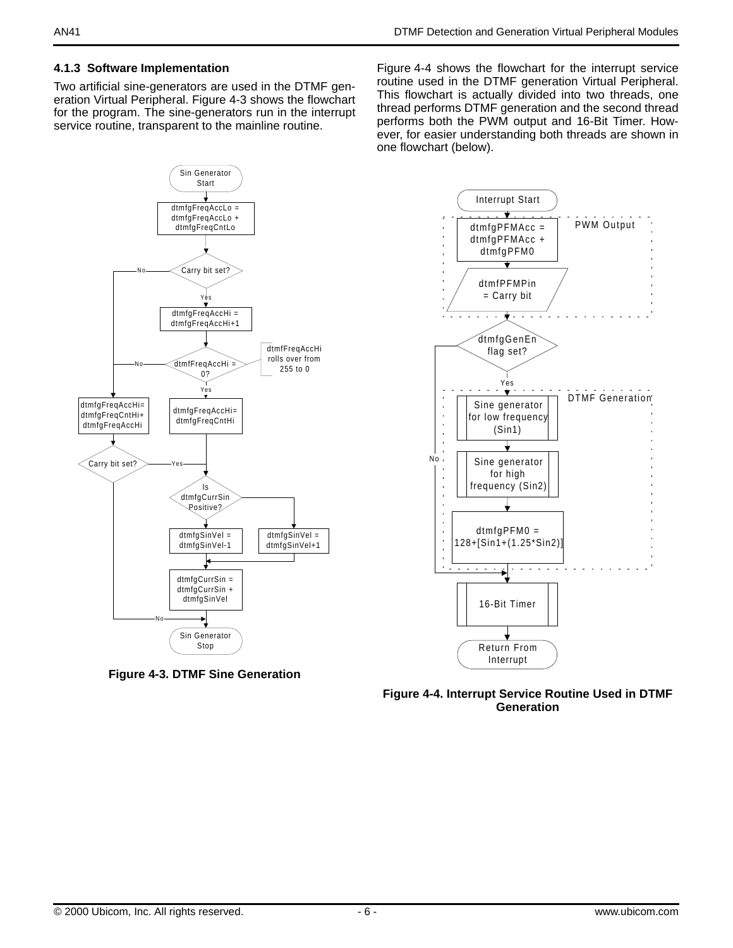#### **4.1.3 Software Implementation**

Two artificial sine-generators are used in the DTMF generation Virtual Peripheral. [Figure 4-3](#page-5-0) shows the flowchart for the program. The sine-generators run in the interrupt service routine, transparent to the mainline routine.

[Figure 4-4](#page-5-1) shows the flowchart for the interrupt service routine used in the DTMF generation Virtual Peripheral. This flowchart is actually divided into two threads, one thread performs DTMF generation and the second thread performs both the PWM output and 16-Bit Timer. However, for easier understanding both threads are shown in one flowchart (below).



<span id="page-5-0"></span>



<span id="page-5-1"></span>**Figure 4-4. Interrupt Service Routine Used in DTMF Generation**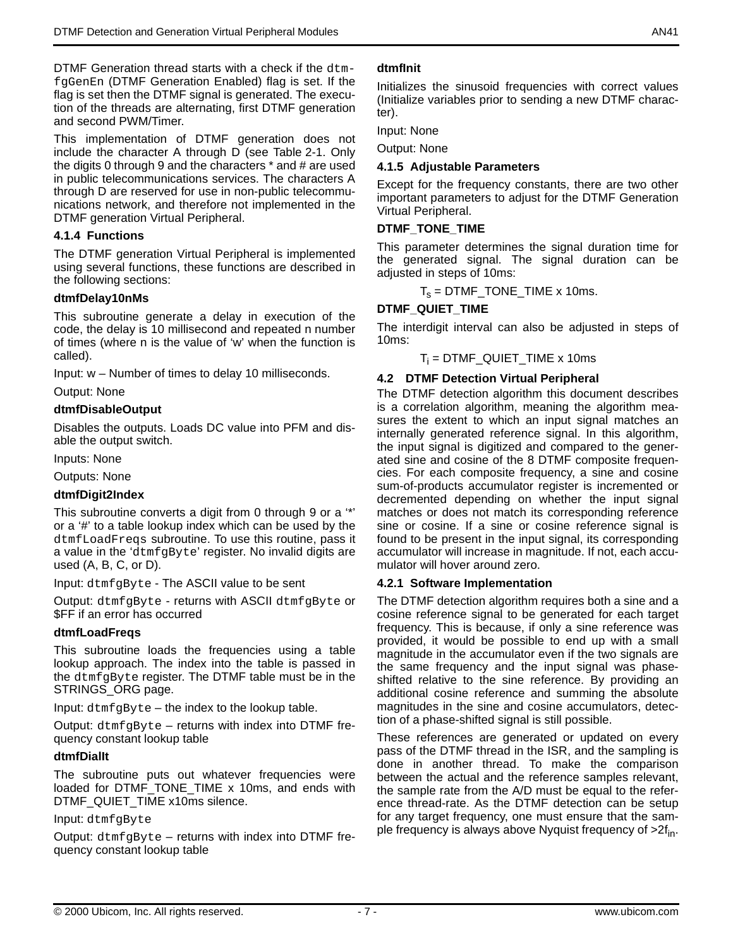DTMF Generation thread starts with a check if the dtmfgGenEn (DTMF Generation Enabled) flag is set. If the flag is set then the DTMF signal is generated. The execution of the threads are alternating, first DTMF generation and second PWM/Timer.

This implementation of DTMF generation does not include the character A through D (see [Table 2-1.](#page-0-0) Only the digits 0 through 9 and the characters \* and # are used in public telecommunications services. The characters A through D are reserved for use in non-public telecommunications network, and therefore not implemented in the DTMF generation Virtual Peripheral.

#### **4.1.4 Functions**

The DTMF generation Virtual Peripheral is implemented using several functions, these functions are described in the following sections:

#### **dtmfDelay10nMs**

This subroutine generate a delay in execution of the code, the delay is 10 millisecond and repeated n number of times (where n is the value of 'w' when the function is called).

Input: w – Number of times to delay 10 milliseconds.

Output: None

#### **dtmfDisableOutput**

Disables the outputs. Loads DC value into PFM and disable the output switch.

Inputs: None

Outputs: None

#### **dtmfDigit2Index**

This subroutine converts a digit from 0 through 9 or a '\*' or a '#' to a table lookup index which can be used by the dtmfLoadFreqs subroutine. To use this routine, pass it a value in the 'dtmfgByte' register. No invalid digits are used (A, B, C, or D).

Input: dtmfgByte - The ASCII value to be sent

Output: dtmfgByte - returns with ASCII dtmfgByte or \$FF if an error has occurred

#### **dtmfLoadFreqs**

This subroutine loads the frequencies using a table lookup approach. The index into the table is passed in the dtmfgByte register. The DTMF table must be in the STRINGS\_ORG page.

Input: dtmfgByte – the index to the lookup table.

Output: dtmfgByte – returns with index into DTMF frequency constant lookup table

#### **dtmfDialIt**

The subroutine puts out whatever frequencies were loaded for DTMF\_TONE\_TIME x 10ms, and ends with DTMF\_QUIET\_TIME x10ms silence.

#### Input: dtmfgByte

Output: dtmfgByte – returns with index into DTMF frequency constant lookup table

## **dtmfInit**

Initializes the sinusoid frequencies with correct values (Initialize variables prior to sending a new DTMF character).

Input: None

Output: None

#### **4.1.5 Adjustable Parameters**

Except for the frequency constants, there are two other important parameters to adjust for the DTMF Generation Virtual Peripheral.

#### **DTMF\_TONE\_TIME**

This parameter determines the signal duration time for the generated signal. The signal duration can be adjusted in steps of 10ms:

 $T_s$  = DTMF\_TONE\_TIME x 10ms.

#### **DTMF\_QUIET\_TIME**

The interdigit interval can also be adjusted in steps of 10ms:

 ${\sf T}_{\sf i}$  = DTMF\_QUIET\_TIME x 10ms

#### **4.2 DTMF Detection Virtual Peripheral**

The DTMF detection algorithm this document describes is a correlation algorithm, meaning the algorithm measures the extent to which an input signal matches an internally generated reference signal. In this algorithm, the input signal is digitized and compared to the generated sine and cosine of the 8 DTMF composite frequencies. For each composite frequency, a sine and cosine sum-of-products accumulator register is incremented or decremented depending on whether the input signal matches or does not match its corresponding reference sine or cosine. If a sine or cosine reference signal is found to be present in the input signal, its corresponding accumulator will increase in magnitude. If not, each accumulator will hover around zero.

#### **4.2.1 Software Implementation**

The DTMF detection algorithm requires both a sine and a cosine reference signal to be generated for each target frequency. This is because, if only a sine reference was provided, it would be possible to end up with a small magnitude in the accumulator even if the two signals are the same frequency and the input signal was phaseshifted relative to the sine reference. By providing an additional cosine reference and summing the absolute magnitudes in the sine and cosine accumulators, detection of a phase-shifted signal is still possible.

These references are generated or updated on every pass of the DTMF thread in the ISR, and the sampling is done in another thread. To make the comparison between the actual and the reference samples relevant, the sample rate from the A/D must be equal to the reference thread-rate. As the DTMF detection can be setup for any target frequency, one must ensure that the sample frequency is always above Nyquist frequency of  $>2f_{in}$ .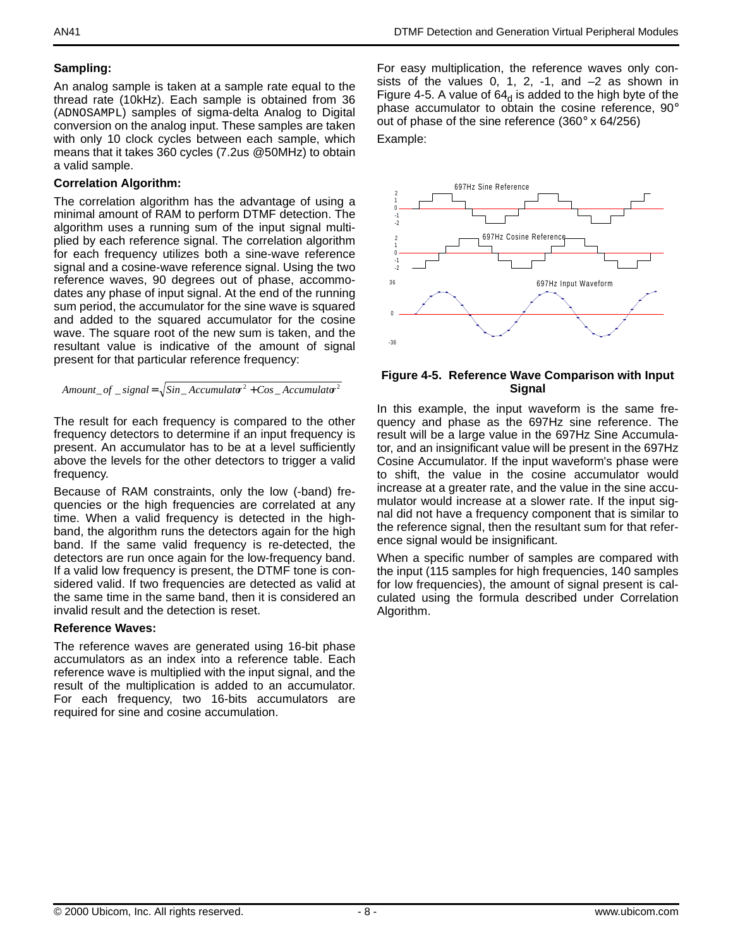## **Sampling:**

An analog sample is taken at a sample rate equal to the thread rate (10kHz). Each sample is obtained from 36 (ADNOSAMPL) samples of sigma-delta Analog to Digital conversion on the analog input. These samples are taken with only 10 clock cycles between each sample, which means that it takes 360 cycles (7.2us @50MHz) to obtain a valid sample.

### **Correlation Algorithm:**

The correlation algorithm has the advantage of using a minimal amount of RAM to perform DTMF detection. The algorithm uses a running sum of the input signal multiplied by each reference signal. The correlation algorithm for each frequency utilizes both a sine-wave reference signal and a cosine-wave reference signal. Using the two reference waves, 90 degrees out of phase, accommodates any phase of input signal. At the end of the running sum period, the accumulator for the sine wave is squared and added to the squared accumulator for the cosine wave. The square root of the new sum is taken, and the resultant value is indicative of the amount of signal present for that particular reference frequency:

```
Amount\_of\_signal = \sqrt{Sin\_Accumulator^2 + Cos\_Accumulator^2}
```
The result for each frequency is compared to the other frequency detectors to determine if an input frequency is present. An accumulator has to be at a level sufficiently above the levels for the other detectors to trigger a valid frequency.

Because of RAM constraints, only the low (-band) frequencies or the high frequencies are correlated at any time. When a valid frequency is detected in the highband, the algorithm runs the detectors again for the high band. If the same valid frequency is re-detected, the detectors are run once again for the low-frequency band. If a valid low frequency is present, the DTMF tone is considered valid. If two frequencies are detected as valid at the same time in the same band, then it is considered an invalid result and the detection is reset.

## **Reference Waves:**

The reference waves are generated using 16-bit phase accumulators as an index into a reference table. Each reference wave is multiplied with the input signal, and the result of the multiplication is added to an accumulator. For each frequency, two 16-bits accumulators are required for sine and cosine accumulation.

For easy multiplication, the reference waves only consists of the values 0, 1, 2, -1, and  $-2$  as shown in [Figure 4-5.](#page-7-0) A value of  $64<sub>d</sub>$  is added to the high byte of the phase accumulator to obtain the cosine reference, 90° out of phase of the sine reference (360° x 64/256) Example:



#### <span id="page-7-0"></span>**Figure 4-5. Reference Wave Comparison with Input Signal**

In this example, the input waveform is the same frequency and phase as the 697Hz sine reference. The result will be a large value in the 697Hz Sine Accumulator, and an insignificant value will be present in the 697Hz Cosine Accumulator. If the input waveform's phase were to shift, the value in the cosine accumulator would increase at a greater rate, and the value in the sine accumulator would increase at a slower rate. If the input signal did not have a frequency component that is similar to the reference signal, then the resultant sum for that reference signal would be insignificant.

When a specific number of samples are compared with the input (115 samples for high frequencies, 140 samples for low frequencies), the amount of signal present is calculated using the formula described under Correlation Algorithm.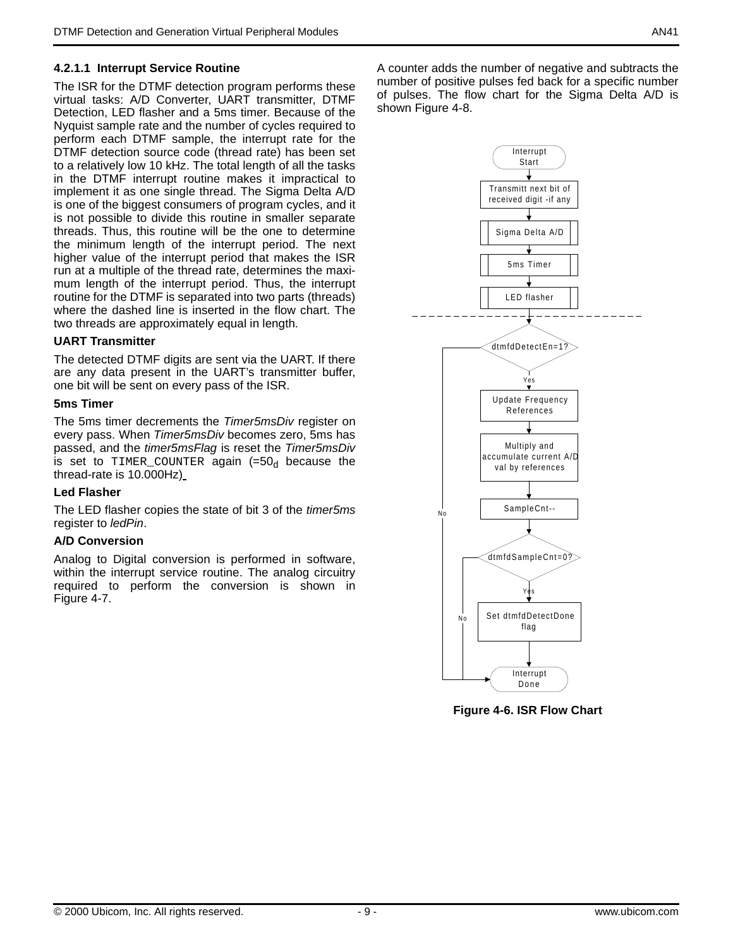### **4.2.1.1 Interrupt Service Routine**

The ISR for the DTMF detection program performs these virtual tasks: A/D Converter, UART transmitter, DTMF Detection, LED flasher and a 5ms timer. Because of the Nyquist sample rate and the number of cycles required to perform each DTMF sample, the interrupt rate for the DTMF detection source code (thread rate) has been set to a relatively low 10 kHz. The total length of all the tasks in the DTMF interrupt routine makes it impractical to implement it as one single thread. The Sigma Delta A/D is one of the biggest consumers of program cycles, and it is not possible to divide this routine in smaller separate threads. Thus, this routine will be the one to determine the minimum length of the interrupt period. The next higher value of the interrupt period that makes the ISR run at a multiple of the thread rate, determines the maximum length of the interrupt period. Thus, the interrupt routine for the DTMF is separated into two parts (threads) where the dashed line is inserted in the flow chart. The two threads are approximately equal in length.

#### **UART Transmitter**

The detected DTMF digits are sent via the UART. If there are any data present in the UART's transmitter buffer, one bit will be sent on every pass of the ISR.

#### **5ms Timer**

The 5ms timer decrements the Timer5msDiv register on every pass. When Timer5msDiv becomes zero, 5ms has passed, and the timer5msFlag is reset the Timer5msDiv is set to TIMER\_COUNTER again  $(=50<sub>d</sub>$  because the thread-rate is 10.000Hz)

#### **Led Flasher**

The LED flasher copies the state of bit 3 of the *timer5ms* register to ledPin.

#### **A/D Conversion**

Analog to Digital conversion is performed in software, within the interrupt service routine. The analog circuitry required to perform the conversion is shown in [Figure 4-7](#page-9-0).

A counter adds the number of negative and subtracts the number of positive pulses fed back for a specific number of pulses. The flow chart for the Sigma Delta A/D is shown [Figure 4-8](#page-9-1).



**Figure 4-6. ISR Flow Chart**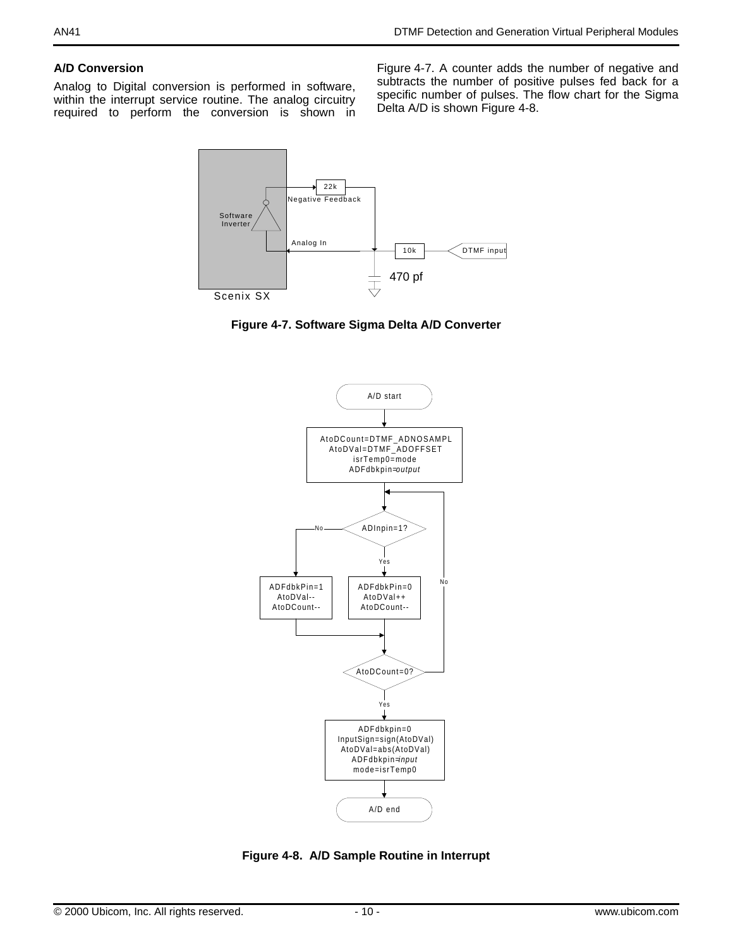### **A/D Conversion**

Analog to Digital conversion is performed in software, within the interrupt service routine. The analog circuitry required to perform the conversion is shown in

[Figure 4-7.](#page-9-0) A counter adds the number of negative and subtracts the number of positive pulses fed back for a specific number of pulses. The flow chart for the Sigma Delta A/D is shown [Figure 4-8.](#page-9-1)



<span id="page-9-0"></span>**Figure 4-7. Software Sigma Delta A/D Converter**



<span id="page-9-1"></span>**Figure 4-8. A/D Sample Routine in Interrupt**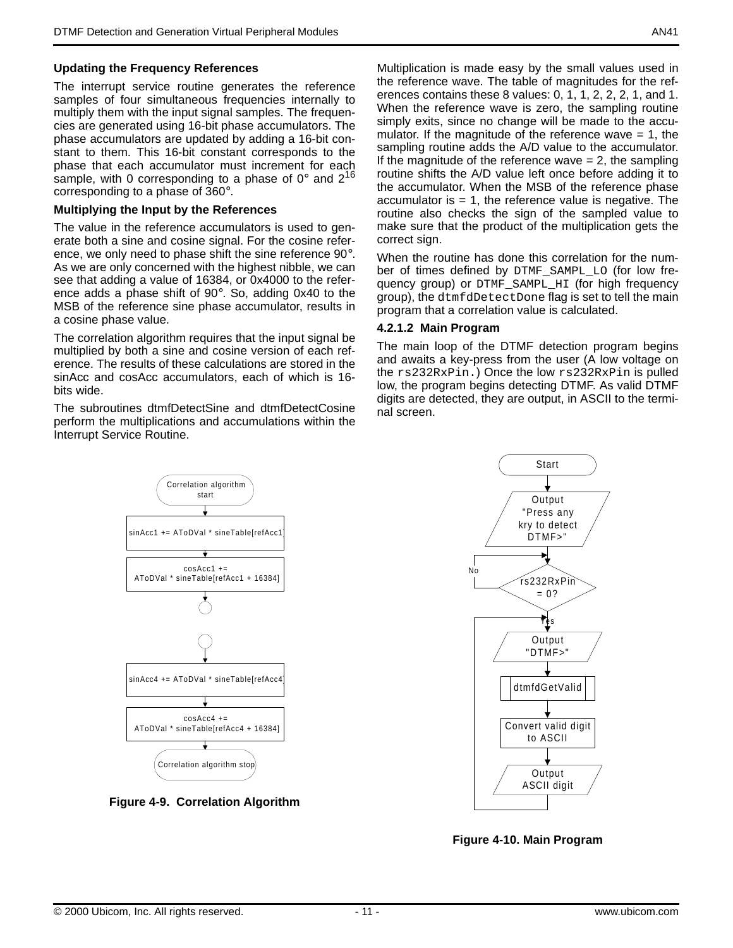#### **Updating the Frequency References**

The interrupt service routine generates the reference samples of four simultaneous frequencies internally to multiply them with the input signal samples. The frequencies are generated using 16-bit phase accumulators. The phase accumulators are updated by adding a 16-bit constant to them. This 16-bit constant corresponds to the phase that each accumulator must increment for each sample, with 0 corresponding to a phase of  $0^{\circ}$  and  $2^{16}$ corresponding to a phase of 360°.

#### **Multiplying the Input by the References**

The value in the reference accumulators is used to generate both a sine and cosine signal. For the cosine reference, we only need to phase shift the sine reference 90°. As we are only concerned with the highest nibble, we can see that adding a value of 16384, or 0x4000 to the reference adds a phase shift of 90°. So, adding 0x40 to the MSB of the reference sine phase accumulator, results in a cosine phase value.

The correlation algorithm requires that the input signal be multiplied by both a sine and cosine version of each reference. The results of these calculations are stored in the sinAcc and cosAcc accumulators, each of which is 16 bits wide.

The subroutines dtmfDetectSine and dtmfDetectCosine perform the multiplications and accumulations within the Interrupt Service Routine.

Multiplication is made easy by the small values used in the reference wave. The table of magnitudes for the references contains these 8 values: 0, 1, 1, 2, 2, 2, 1, and 1. When the reference wave is zero, the sampling routine simply exits, since no change will be made to the accumulator. If the magnitude of the reference wave  $= 1$ , the sampling routine adds the A/D value to the accumulator. If the magnitude of the reference wave  $= 2$ , the sampling routine shifts the A/D value left once before adding it to the accumulator. When the MSB of the reference phase accumulator is  $= 1$ , the reference value is negative. The routine also checks the sign of the sampled value to make sure that the product of the multiplication gets the correct sign.

When the routine has done this correlation for the number of times defined by DTMF\_SAMPL\_LO (for low frequency group) or DTMF\_SAMPL\_HI (for high frequency group), the dtmfdDetectDone flag is set to tell the main program that a correlation value is calculated.

#### **4.2.1.2 Main Program**

The main loop of the DTMF detection program begins and awaits a key-press from the user (A low voltage on the rs232RxPin.) Once the low rs232RxPin is pulled low, the program begins detecting DTMF. As valid DTMF digits are detected, they are output, in ASCII to the terminal screen.



**Figure 4-9. Correlation Algorithm** 



**Figure 4-10. Main Program**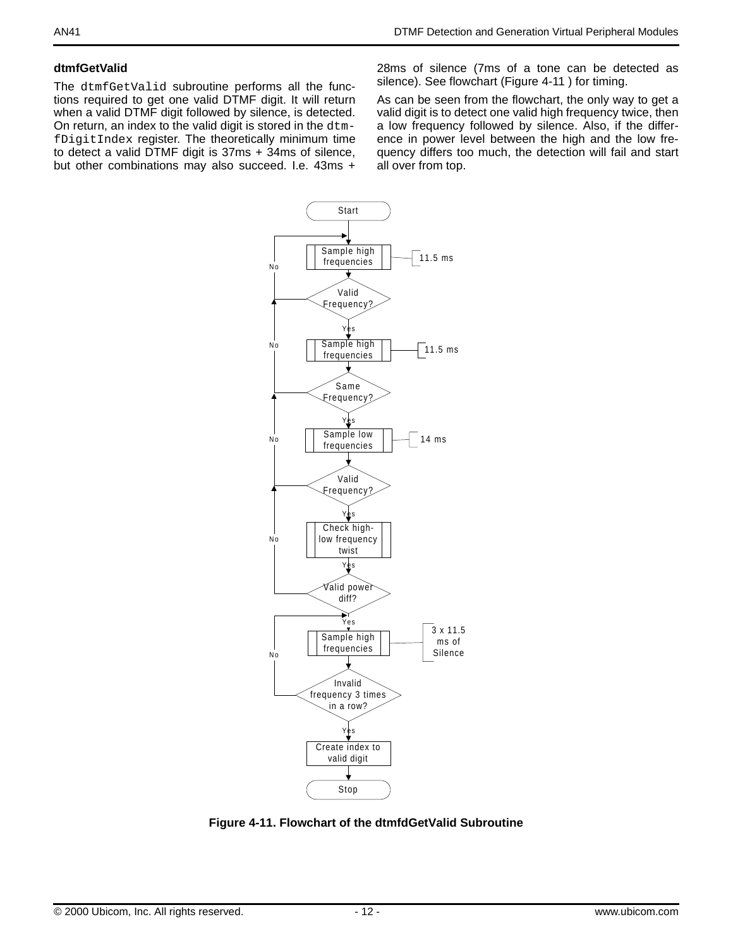#### **dtmfGetValid**

The dtmfGetValid subroutine performs all the functions required to get one valid DTMF digit. It will return when a valid DTMF digit followed by silence, is detected. On return, an index to the valid digit is stored in the dtmfDigitIndex register. The theoretically minimum time to detect a valid DTMF digit is 37ms + 34ms of silence, but other combinations may also succeed. I.e. 43ms + 28ms of silence (7ms of a tone can be detected as silence). See flowchart ([Figure 4-11](#page-11-0) ) for timing.

As can be seen from the flowchart, the only way to get a valid digit is to detect one valid high frequency twice, then a low frequency followed by silence. Also, if the difference in power level between the high and the low frequency differs too much, the detection will fail and start all over from top.



<span id="page-11-0"></span>**Figure 4-11. Flowchart of the dtmfdGetValid Subroutine**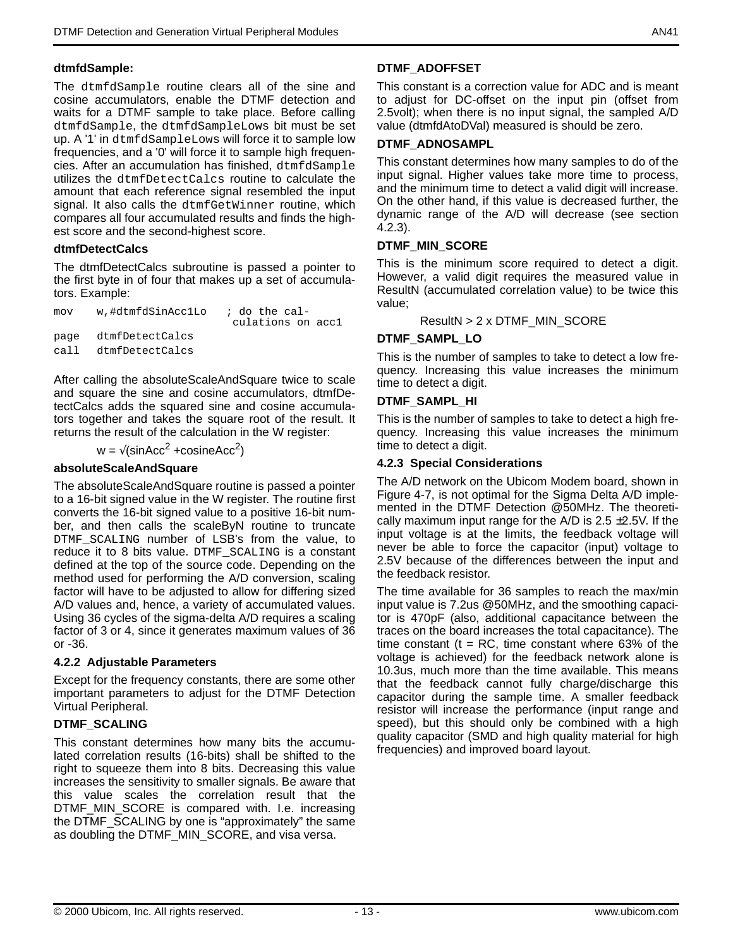#### **dtmfdSample:**

The dtmfdSample routine clears all of the sine and cosine accumulators, enable the DTMF detection and waits for a DTMF sample to take place. Before calling dtmfdSample, the dtmfdSampleLows bit must be set up. A '1' in dtmfdSampleLows will force it to sample low frequencies, and a '0' will force it to sample high frequencies. After an accumulation has finished, dtmfdSample utilizes the dtmfDetectCalcs routine to calculate the amount that each reference signal resembled the input signal. It also calls the dtmfGetWinner routine, which compares all four accumulated results and finds the highest score and the second-highest score.

#### **dtmfDetectCalcs**

The dtmfDetectCalcs subroutine is passed a pointer to the first byte in of four that makes up a set of accumulators. Example:

mov w,#dtmfdSinAcc1Lo ; do the cal culations on acc1 page dtmfDetectCalcs call dtmfDetectCalcs

After calling the absoluteScaleAndSquare twice to scale and square the sine and cosine accumulators, dtmfDetectCalcs adds the squared sine and cosine accumulators together and takes the square root of the result. It returns the result of the calculation in the W register:

$$
w = \sqrt{(\sin Acc^2 + \cosineAcc^2)}
$$

#### **absoluteScaleAndSquare**

The absoluteScaleAndSquare routine is passed a pointer to a 16-bit signed value in the W register. The routine first converts the 16-bit signed value to a positive 16-bit number, and then calls the scaleByN routine to truncate DTMF SCALING number of LSB's from the value, to reduce it to 8 bits value. DTMF\_SCALING is a constant defined at the top of the source code. Depending on the method used for performing the A/D conversion, scaling factor will have to be adjusted to allow for differing sized A/D values and, hence, a variety of accumulated values. Using 36 cycles of the sigma-delta A/D requires a scaling factor of 3 or 4, since it generates maximum values of 36 or -36.

#### **4.2.2 Adjustable Parameters**

Except for the frequency constants, there are some other important parameters to adjust for the DTMF Detection Virtual Peripheral.

#### **DTMF\_SCALING**

This constant determines how many bits the accumulated correlation results (16-bits) shall be shifted to the right to squeeze them into 8 bits. Decreasing this value increases the sensitivity to smaller signals. Be aware that this value scales the correlation result that the DTMF MIN SCORE is compared with. I.e. increasing the DTMF\_SCALING by one is "approximately" the same as doubling the DTMF\_MIN\_SCORE, and visa versa.

## **DTMF\_ADOFFSET**

This constant is a correction value for ADC and is meant to adjust for DC-offset on the input pin (offset from 2.5volt); when there is no input signal, the sampled A/D value (dtmfdAtoDVal) measured is should be zero.

#### **DTMF\_ADNOSAMPL**

This constant determines how many samples to do of the input signal. Higher values take more time to process, and the minimum time to detect a valid digit will increase. On the other hand, if this value is decreased further, the dynamic range of the A/D will decrease (see section 4.2.3).

#### **DTMF\_MIN\_SCORE**

This is the minimum score required to detect a digit. However, a valid digit requires the measured value in ResultN (accumulated correlation value) to be twice this value;

ResultN > 2 x DTMF\_MIN\_SCORE

#### **DTMF\_SAMPL\_LO**

This is the number of samples to take to detect a low frequency. Increasing this value increases the minimum time to detect a digit.

#### **DTMF\_SAMPL\_HI**

This is the number of samples to take to detect a high frequency. Increasing this value increases the minimum time to detect a digit.

#### **4.2.3 Special Considerations**

The A/D network on the Ubicom Modem board, shown in [Figure 4-7,](#page-9-0) is not optimal for the Sigma Delta A/D implemented in the DTMF Detection @50MHz. The theoretically maximum input range for the A/D is  $2.5 \pm 2.5$ V. If the input voltage is at the limits, the feedback voltage will never be able to force the capacitor (input) voltage to 2.5V because of the differences between the input and the feedback resistor.

The time available for 36 samples to reach the max/min input value is 7.2us @50MHz, and the smoothing capacitor is 470pF (also, additional capacitance between the traces on the board increases the total capacitance). The time constant ( $t = RC$ , time constant where 63% of the voltage is achieved) for the feedback network alone is 10.3us, much more than the time available. This means that the feedback cannot fully charge/discharge this capacitor during the sample time. A smaller feedback resistor will increase the performance (input range and speed), but this should only be combined with a high quality capacitor (SMD and high quality material for high frequencies) and improved board layout.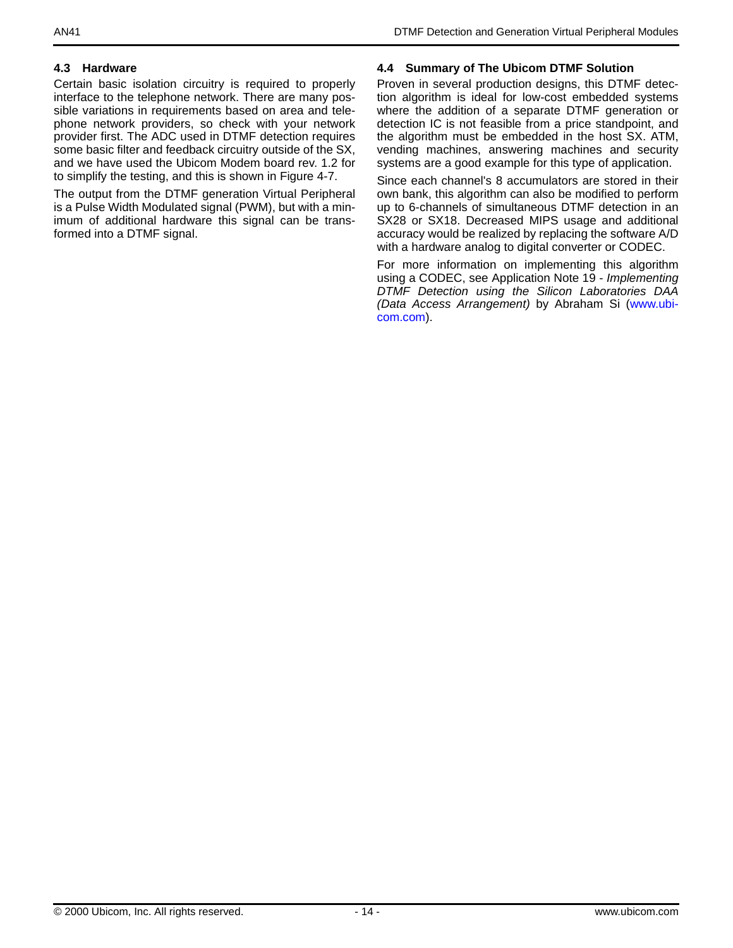## **4.3 Hardware**

Certain basic isolation circuitry is required to properly interface to the telephone network. There are many possible variations in requirements based on area and telephone network providers, so check with your network provider first. The ADC used in DTMF detection requires some basic filter and feedback circuitry outside of the SX, and we have used the Ubicom Modem board rev. 1.2 for to simplify the testing, and this is shown in [Figure 4-7](#page-9-0).

The output from the DTMF generation Virtual Peripheral is a Pulse Width Modulated signal (PWM), but with a minimum of additional hardware this signal can be transformed into a DTMF signal.

### **4.4 Summary of The Ubicom DTMF Solution**

Proven in several production designs, this DTMF detection algorithm is ideal for low-cost embedded systems where the addition of a separate DTMF generation or detection IC is not feasible from a price standpoint, and the algorithm must be embedded in the host SX. ATM, vending machines, answering machines and security systems are a good example for this type of application.

Since each channel's 8 accumulators are stored in their own bank, this algorithm can also be modified to perform up to 6-channels of simultaneous DTMF detection in an SX28 or SX18. Decreased MIPS usage and additional accuracy would be realized by replacing the software A/D with a hardware analog to digital converter or CODEC.

For more information on implementing this algorithm using a CODEC, see Application Note 19 - Implementing DTMF Detection using the Silicon Laboratories DAA (Data Access Arrangement) by Abraham Si (www.ubicom.com).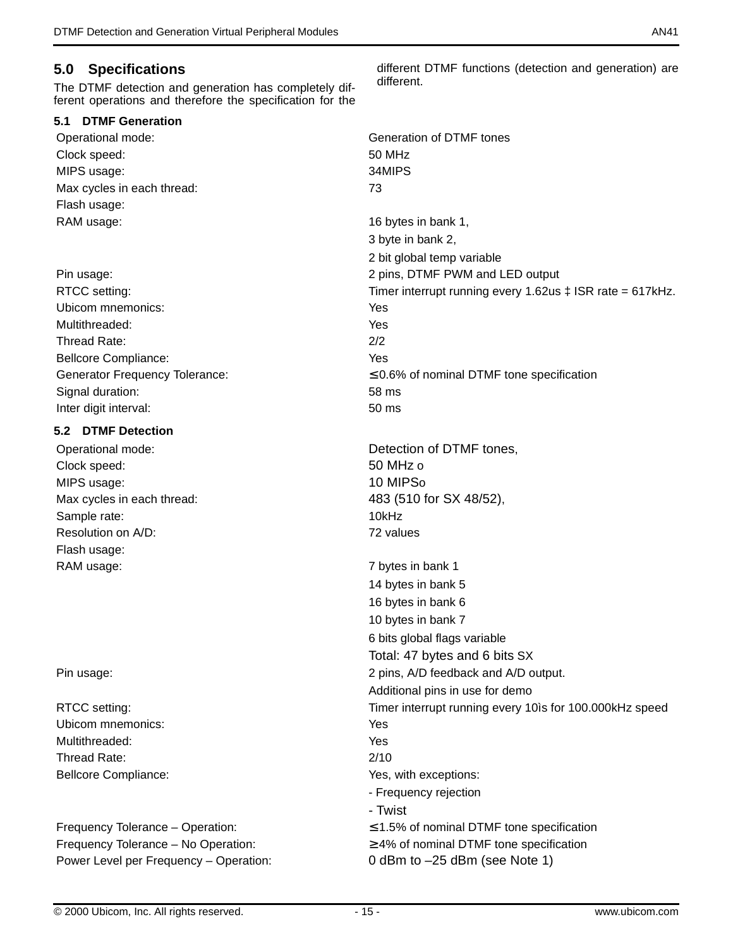## **5.0 Specifications**

The DTMF detection and generation has completely different operations and therefore the specification for the

#### **5.1 DTMF Generation**

Clock speed: 50 MHz MIPS usage: 34MIPS Max cycles in each thread: 73 Flash usage: RAM usage: 16 bytes in bank 1,

Ubicom mnemonics: Yes Multithreaded: Yes Thread Rate: 2/2 Bellcore Compliance: Yes Signal duration: 58 ms Inter digit interval: 50 ms

## **5.2 DTMF Detection**

Clock speed: 50 MHz o MIPS usage: 10 MIPSo Sample rate: 10kHz Resolution on A/D: 72 values Flash usage: RAM usage: The contract of the contract of the contract of the contract of the contract of the contract of the contract of the contract of the contract of the contract of the contract of the contract of the contract of the

Ubicom mnemonics: Yes Multithreaded: Yes Thread Rate: 2/10

Power Level per Frequency – Operation: 0 dBm to –25 dBm (see Note 1)

different DTMF functions (detection and generation) are different.

Operational mode: Generation of DTMF tones 3 byte in bank 2, 2 bit global temp variable Pin usage: 2 pins, DTMF PWM and LED output RTCC setting: Timer interrupt running every 1.62us  $\pm$  ISR rate = 617kHz. Generator Frequency Tolerance:  $≤$  0.6% of nominal DTMF tone specification Operational mode:  $\qquad \qquad$  Detection of DTMF tones. Max cycles in each thread: 483 (510 for SX 48/52), 14 bytes in bank 5 16 bytes in bank 6 10 bytes in bank 7 6 bits global flags variable Total: 47 bytes and 6 bits SX Pin usage:  $2$  pins, A/D feedback and A/D output. Additional pins in use for demo RTCC setting: Timer interrupt running every 10ìs for 100.000kHz speed Bellcore Compliance:  $\blacksquare$ - Frequency rejection - Twist Frequency Tolerance – Operation: ≤ 1.5% of nominal DTMF tone specification Frequency Tolerance – No Operation:  $\geq 4\%$  of nominal DTMF tone specification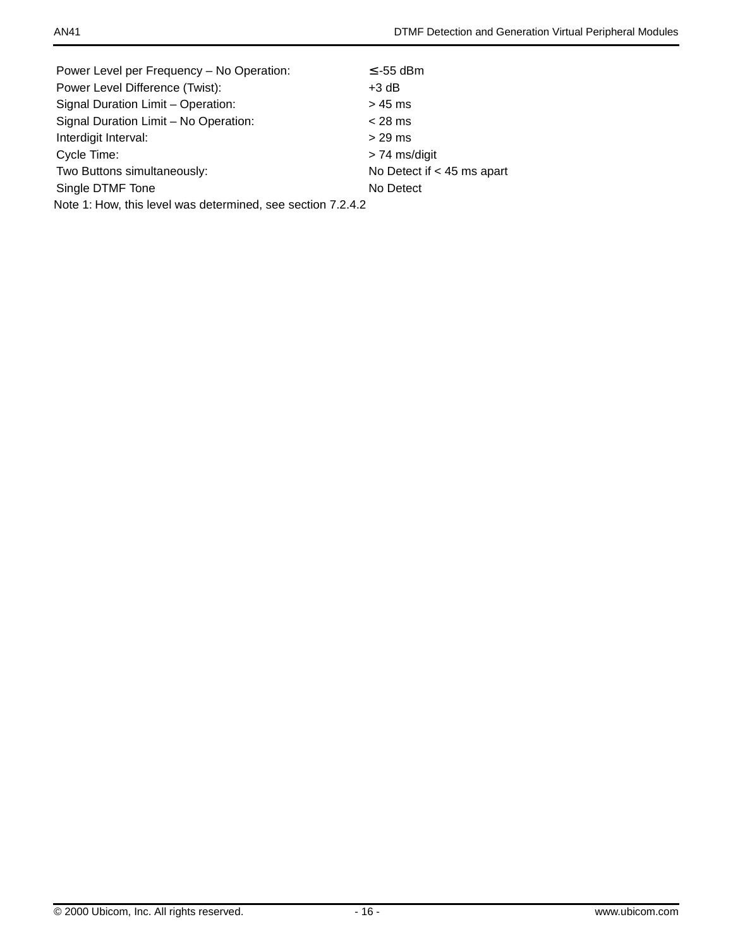| Power Level per Frequency - No Operation:                   | $\le$ -55 dBm                |
|-------------------------------------------------------------|------------------------------|
| Power Level Difference (Twist):                             | $+3$ dB                      |
| Signal Duration Limit - Operation:                          | > 45 ms                      |
| Signal Duration Limit - No Operation:                       | $<$ 28 ms                    |
| Interdigit Interval:                                        | $> 29$ ms                    |
| Cycle Time:                                                 | $> 74$ ms/digit              |
| Two Buttons simultaneously:                                 | No Detect if $<$ 45 ms apart |
| Single DTMF Tone                                            | No Detect                    |
| Note 1: How, this level was determined, see section 7.2.4.2 |                              |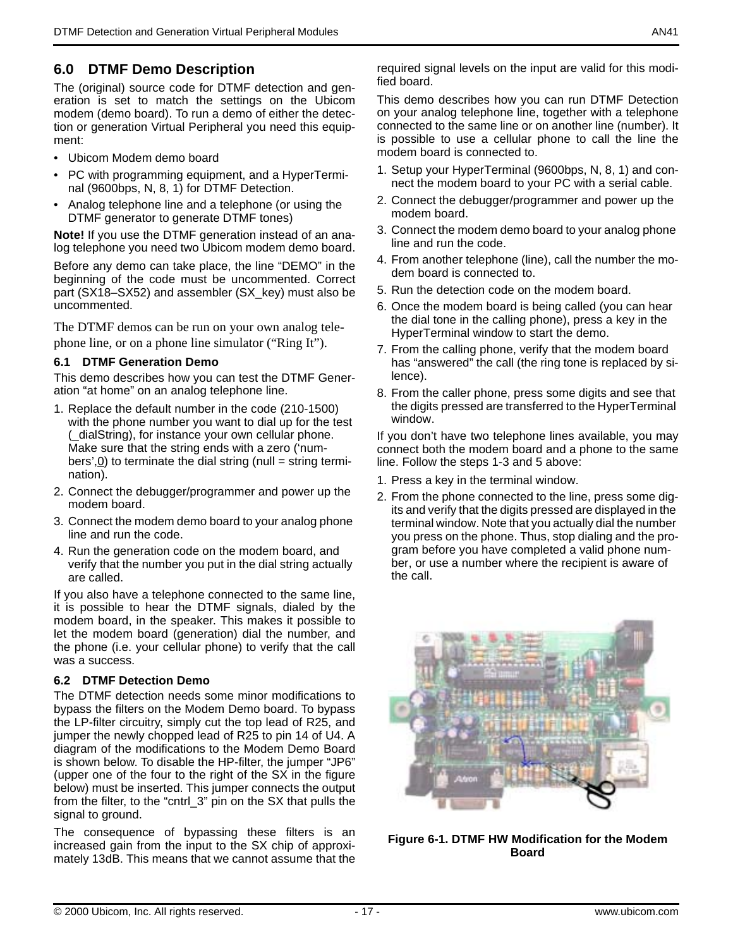## **6.0 DTMF Demo Description**

The (original) source code for DTMF detection and generation is set to match the settings on the Ubicom modem (demo board). To run a demo of either the detection or generation Virtual Peripheral you need this equipment:

- Ubicom Modem demo board
- PC with programming equipment, and a HyperTerminal (9600bps, N, 8, 1) for DTMF Detection.
- Analog telephone line and a telephone (or using the DTMF generator to generate DTMF tones)

**Note!** If you use the DTMF generation instead of an analog telephone you need two Ubicom modem demo board.

Before any demo can take place, the line "DEMO" in the beginning of the code must be uncommented. Correct part (SX18–SX52) and assembler (SX\_key) must also be uncommented.

The DTMF demos can be run on your own analog telephone line, or on a phone line simulator ("Ring It").

#### **6.1 DTMF Generation Demo**

This demo describes how you can test the DTMF Generation "at home" on an analog telephone line.

- 1. Replace the default number in the code (210-1500) with the phone number you want to dial up for the test (\_dialString), for instance your own cellular phone. Make sure that the string ends with a zero ('numbers', $\underline{0}$ ) to terminate the dial string (null = string termination).
- 2. Connect the debugger/programmer and power up the modem board.
- 3. Connect the modem demo board to your analog phone line and run the code.
- 4. Run the generation code on the modem board, and verify that the number you put in the dial string actually are called.

If you also have a telephone connected to the same line, it is possible to hear the DTMF signals, dialed by the modem board, in the speaker. This makes it possible to let the modem board (generation) dial the number, and the phone (i.e. your cellular phone) to verify that the call was a success.

#### **6.2 DTMF Detection Demo**

The DTMF detection needs some minor modifications to bypass the filters on the Modem Demo board. To bypass the LP-filter circuitry, simply cut the top lead of R25, and jumper the newly chopped lead of R25 to pin 14 of U4. A diagram of the modifications to the Modem Demo Board is shown below. To disable the HP-filter, the jumper "JP6" (upper one of the four to the right of the SX in the figure below) must be inserted. This jumper connects the output from the filter, to the "cntrl\_3" pin on the SX that pulls the signal to ground.

The consequence of bypassing these filters is an increased gain from the input to the SX chip of approximately 13dB. This means that we cannot assume that the

required signal levels on the input are valid for this modified board.

This demo describes how you can run DTMF Detection on your analog telephone line, together with a telephone connected to the same line or on another line (number). It is possible to use a cellular phone to call the line the modem board is connected to.

- 1. Setup your HyperTerminal (9600bps, N, 8, 1) and connect the modem board to your PC with a serial cable.
- 2. Connect the debugger/programmer and power up the modem board.
- 3. Connect the modem demo board to your analog phone line and run the code.
- 4. From another telephone (line), call the number the modem board is connected to.
- 5. Run the detection code on the modem board.
- 6. Once the modem board is being called (you can hear the dial tone in the calling phone), press a key in the HyperTerminal window to start the demo.
- 7. From the calling phone, verify that the modem board has "answered" the call (the ring tone is replaced by silence).
- 8. From the caller phone, press some digits and see that the digits pressed are transferred to the HyperTerminal window.

If you don't have two telephone lines available, you may connect both the modem board and a phone to the same line. Follow the steps 1-3 and 5 above:

- 1. Press a key in the terminal window.
- 2. From the phone connected to the line, press some digits and verify that the digits pressed are displayed in the terminal window. Note that you actually dial the number you press on the phone. Thus, stop dialing and the program before you have completed a valid phone number, or use a number where the recipient is aware of the call.

<span id="page-16-0"></span>

**Figure 6-1. DTMF HW Modification for the Modem Board**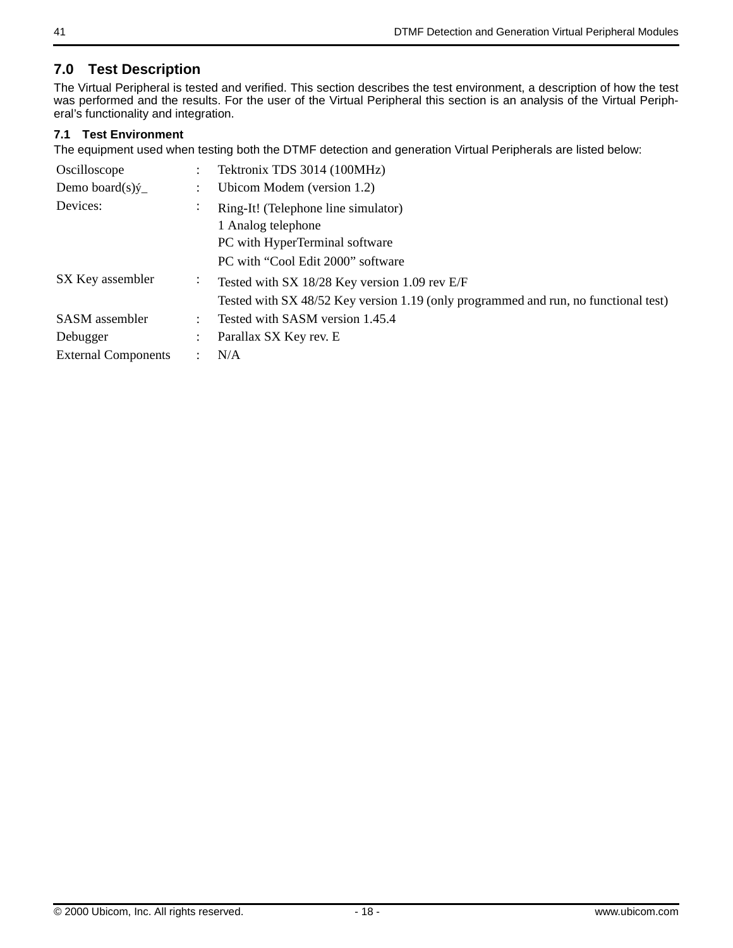## **7.0 Test Description**

The Virtual Peripheral is tested and verified. This section describes the test environment, a description of how the test was performed and the results. For the user of the Virtual Peripheral this section is an analysis of the Virtual Peripheral's functionality and integration.

### **7.1 Test Environment**

The equipment used when testing both the DTMF detection and generation Virtual Peripherals are listed below:

| Oscilloscope<br>Demo board $(s)$ ý | $\ddot{\phantom{0}}$ | Tektronix TDS 3014 (100MHz)<br>Ubicom Modem (version 1.2)                                                                            |
|------------------------------------|----------------------|--------------------------------------------------------------------------------------------------------------------------------------|
| Devices:                           | $\bullet$            | Ring-It! (Telephone line simulator)<br>1 Analog telephone<br>PC with HyperTerminal software<br>PC with "Cool Edit 2000" software     |
| SX Key assembler                   | $\ddot{\phantom{a}}$ | Tested with SX 18/28 Key version 1.09 rev E/F<br>Tested with SX 48/52 Key version 1.19 (only programmed and run, no functional test) |
| <b>SASM</b> assembler              | $\ddot{\phantom{a}}$ | Tested with SASM version 1.45.4                                                                                                      |
| Debugger                           | $\ddot{\phantom{0}}$ | Parallax SX Key rev. E                                                                                                               |
| <b>External Components</b>         |                      | N/A                                                                                                                                  |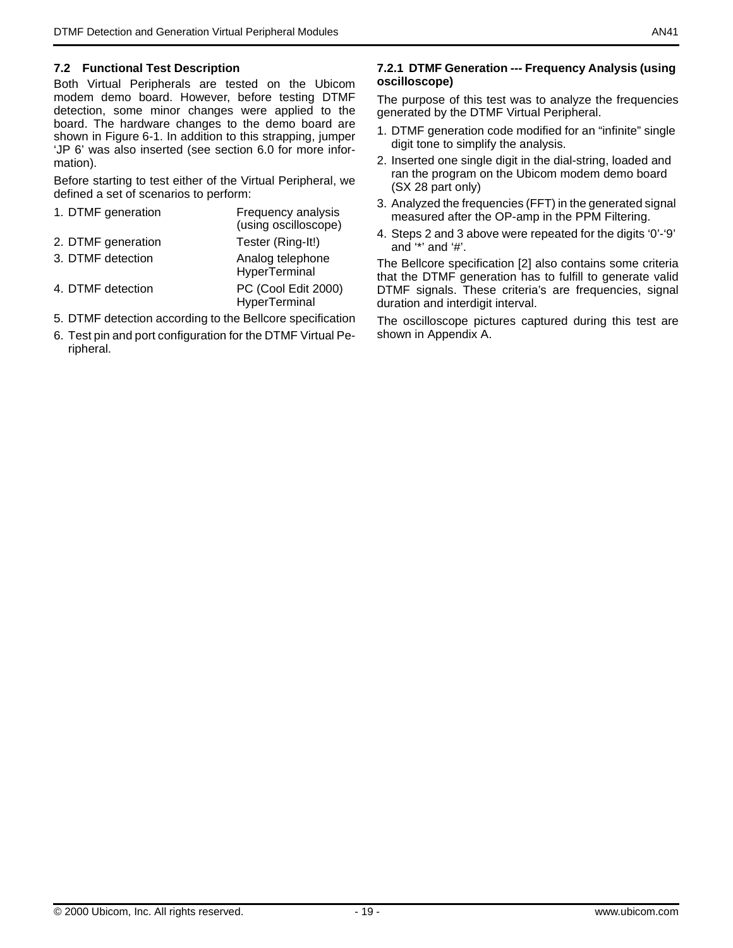#### **7.2 Functional Test Description**

Both Virtual Peripherals are tested on the Ubicom modem demo board. However, before testing DTMF detection, some minor changes were applied to the board. The hardware changes to the demo board are shown in [Figure 6-1.](#page-16-0) In addition to this strapping, jumper 'JP 6' was also inserted (see section 6.0 for more information).

Before starting to test either of the Virtual Peripheral, we defined a set of scenarios to perform:

- 1. DTMF generation Frequency analysis (using oscilloscope) 2. DTMF generation Tester (Ring-It!) 3. DTMF detection Analog telephone **HyperTerminal**
- 4. DTMF detection PC (Cool Edit 2000) **HyperTerminal**
- 5. DTMF detection according to the Bellcore specification
- 6. Test pin and port configuration for the DTMF Virtual Peripheral.

#### **7.2.1 DTMF Generation --- Frequency Analysis (using oscilloscope)**

The purpose of this test was to analyze the frequencies generated by the DTMF Virtual Peripheral.

- 1. DTMF generation code modified for an "infinite" single digit tone to simplify the analysis.
- 2. Inserted one single digit in the dial-string, loaded and ran the program on the Ubicom modem demo board (SX 28 part only)
- 3. Analyzed the frequencies (FFT) in the generated signal measured after the OP-amp in the PPM Filtering.
- 4. Steps 2 and 3 above were repeated for the digits '0'-'9' and '\*' and '#'.

The Bellcore specification [2] also contains some criteria that the DTMF generation has to fulfill to generate valid DTMF signals. These criteria's are frequencies, signal duration and interdigit interval.

The oscilloscope pictures captured during this test are shown in Appendix A.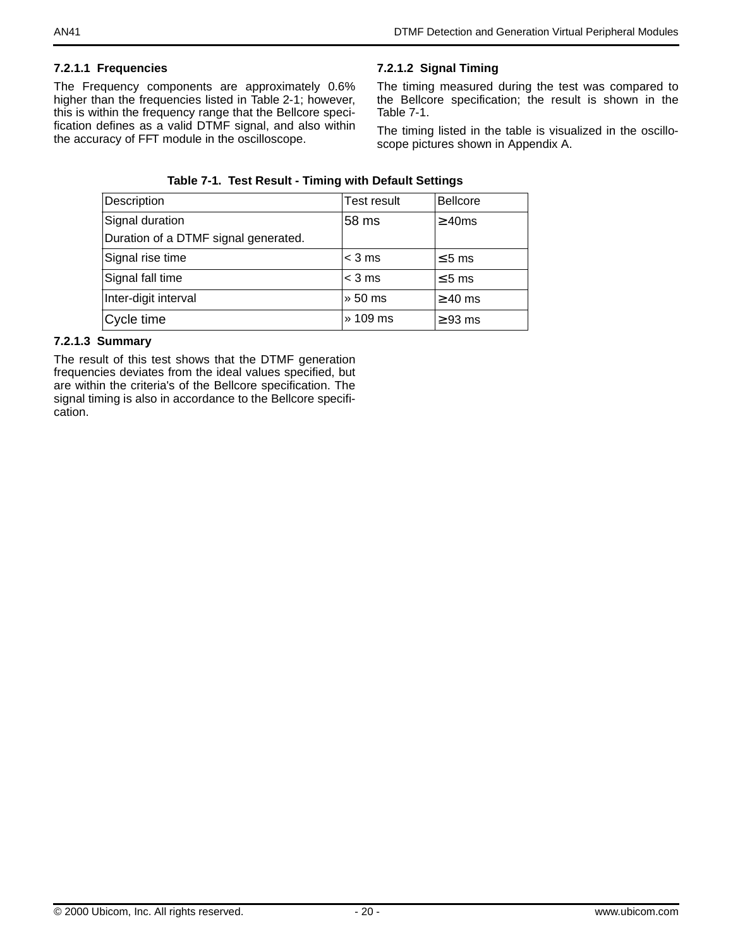### **7.2.1.1 Frequencies**

The Frequency components are approximately 0.6% higher than the frequencies listed in [Table 2-1;](#page-0-0) however, this is within the frequency range that the Bellcore specification defines as a valid DTMF signal, and also within the accuracy of FFT module in the oscilloscope.

## **7.2.1.2 Signal Timing**

The timing measured during the test was compared to the Bellcore specification; the result is shown in the [Table 7-1](#page-19-0).

The timing listed in the table is visualized in the oscilloscope pictures shown in Appendix A.

<span id="page-19-0"></span>

| Description                          | Test result | <b>Bellcore</b> |  |  |  |  |
|--------------------------------------|-------------|-----------------|--|--|--|--|
| Signal duration                      | 58 ms       | $\geq$ 40ms     |  |  |  |  |
| Duration of a DTMF signal generated. |             |                 |  |  |  |  |
| Signal rise time                     | $<$ 3 ms    | $\leq$ 5 ms     |  |  |  |  |
| Signal fall time                     | $<$ 3 ms    | $\leq 5$ ms     |  |  |  |  |
| Inter-digit interval                 | » 50 ms     | $\geq$ 40 ms    |  |  |  |  |
| Cycle time                           | » 109 ms    | $\geq$ 93 ms    |  |  |  |  |

## **Table 7-1. Test Result - Timing with Default Settings**

## **7.2.1.3 Summary**

The result of this test shows that the DTMF generation frequencies deviates from the ideal values specified, but are within the criteria's of the Bellcore specification. The signal timing is also in accordance to the Bellcore specification.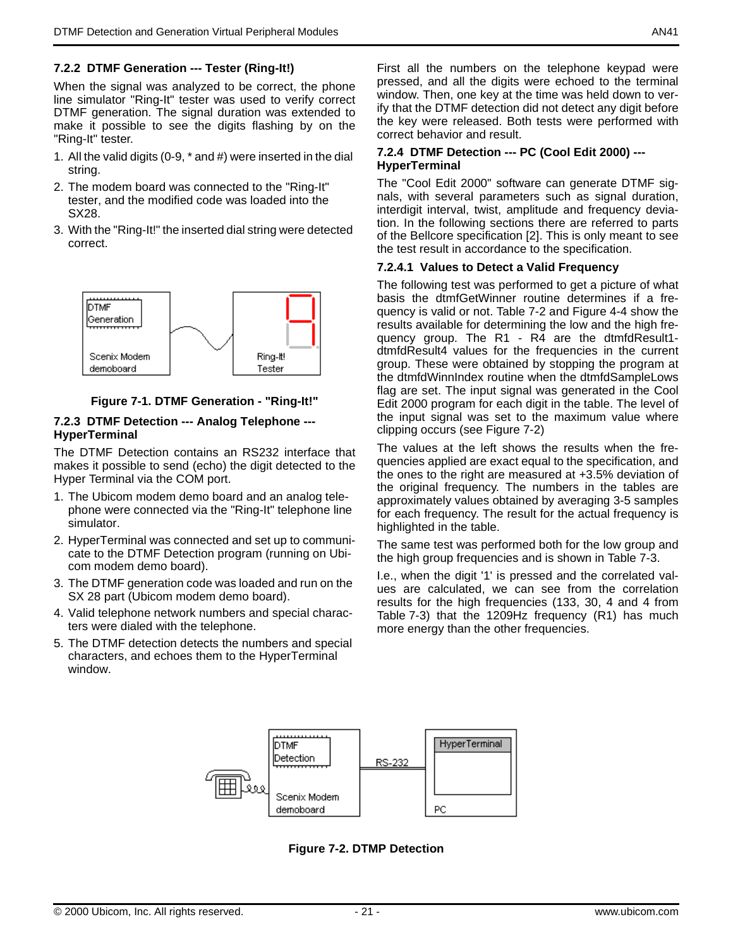#### **7.2.2 DTMF Generation --- Tester (Ring-It!)**

When the signal was analyzed to be correct, the phone line simulator "Ring-It" tester was used to verify correct DTMF generation. The signal duration was extended to make it possible to see the digits flashing by on the "Ring-It" tester.

- 1. All the valid digits (0-9, \* and #) were inserted in the dial string.
- 2. The modem board was connected to the "Ring-It" tester, and the modified code was loaded into the SX28.
- 3. With the "Ring-It!" the inserted dial string were detected correct.



#### **Figure 7-1. DTMF Generation - "Ring-It!"**

#### **7.2.3 DTMF Detection --- Analog Telephone --- HyperTerminal**

The DTMF Detection contains an RS232 interface that makes it possible to send (echo) the digit detected to the Hyper Terminal via the COM port.

- 1. The Ubicom modem demo board and an analog telephone were connected via the "Ring-It" telephone line simulator.
- 2. HyperTerminal was connected and set up to communicate to the DTMF Detection program (running on Ubicom modem demo board).
- 3. The DTMF generation code was loaded and run on the SX 28 part (Ubicom modem demo board).
- 4. Valid telephone network numbers and special characters were dialed with the telephone.
- 5. The DTMF detection detects the numbers and special characters, and echoes them to the HyperTerminal window.

First all the numbers on the telephone keypad were pressed, and all the digits were echoed to the terminal window. Then, one key at the time was held down to verify that the DTMF detection did not detect any digit before the key were released. Both tests were performed with correct behavior and result.

#### **7.2.4 DTMF Detection --- PC (Cool Edit 2000) --- HyperTerminal**

The "Cool Edit 2000" software can generate DTMF signals, with several parameters such as signal duration, interdigit interval, twist, amplitude and frequency deviation. In the following sections there are referred to parts of the Bellcore specification [2]. This is only meant to see the test result in accordance to the specification.

#### **7.2.4.1 Values to Detect a Valid Frequency**

The following test was performed to get a picture of what basis the dtmfGetWinner routine determines if a frequency is valid or not. [Table 7-2](#page-21-0) and [Figure 4-4](#page-5-1) show the results available for determining the low and the high frequency group. The R1 - R4 are the dtmfdResult1 dtmfdResult4 values for the frequencies in the current group. These were obtained by stopping the program at the dtmfdWinnIndex routine when the dtmfdSampleLows flag are set. The input signal was generated in the Cool Edit 2000 program for each digit in the table. The level of the input signal was set to the maximum value where clipping occurs (see [Figure 7-2\)](#page-20-0)

The values at the left shows the results when the frequencies applied are exact equal to the specification, and the ones to the right are measured at +3.5% deviation of the original frequency. The numbers in the tables are approximately values obtained by averaging 3-5 samples for each frequency. The result for the actual frequency is highlighted in the table.

The same test was performed both for the low group and the high group frequencies and is shown in [Table 7-3.](#page-21-1)

I.e., when the digit '1' is pressed and the correlated values are calculated, we can see from the correlation results for the high frequencies (133, 30, 4 and 4 from [Table 7-3](#page-21-1)) that the 1209Hz frequency (R1) has much more energy than the other frequencies.

<span id="page-20-0"></span>

**Figure 7-2. DTMP Detection**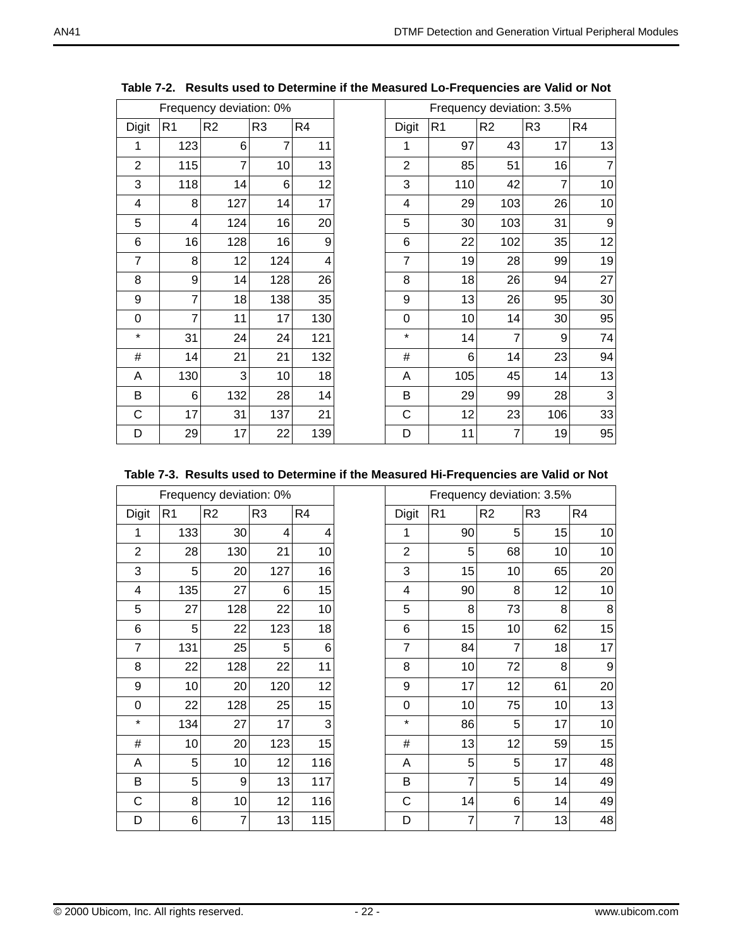<span id="page-21-0"></span>

|                |                | Frequency deviation: 0% |                |                |                |                |                | Frequency deviation: 3.5% |                |
|----------------|----------------|-------------------------|----------------|----------------|----------------|----------------|----------------|---------------------------|----------------|
| Digit          | R1             | R <sub>2</sub>          | R <sub>3</sub> | R <sub>4</sub> | Digit          | R <sub>1</sub> | R <sub>2</sub> | R <sub>3</sub>            | R <sub>4</sub> |
| 1              | 123            | 6                       | 7              | 11             | 1              | 97             | 43             | 17                        | 13             |
| $\overline{2}$ | 115            | 7                       | 10             | 13             | $\overline{2}$ | 85             | 51             | 16                        |                |
| 3              | 118            | 14                      | 6              | 12             | 3              | 110            | 42             | 7                         | 10             |
| 4              | 8              | 127                     | 14             | 17             | 4              | 29             | 103            | 26                        | 10             |
| 5              | 4              | 124                     | 16             | 20             | 5              | 30             | 103            | 31                        | 9              |
| 6              | 16             | 128                     | 16             | 9              | 6              | 22             | 102            | 35                        | 12             |
| $\overline{7}$ | 8              | 12                      | 124            | 4              | $\overline{7}$ | 19             | 28             | 99                        | 19             |
| 8              | 9              | 14                      | 128            | 26             | 8              | 18             | 26             | 94                        | 27             |
| 9              | 7              | 18                      | 138            | 35             | 9              | 13             | 26             | 95                        | 30             |
| $\mathbf 0$    | $\overline{7}$ | 11                      | 17             | 130            | $\overline{0}$ | 10             | 14             | 30                        | 95             |
| $\star$        | 31             | 24                      | 24             | 121            | $\star$        | 14             | 7              | 9                         | 74             |
| $\#$           | 14             | 21                      | 21             | 132            | $\#$           | 6              | 14             | 23                        | 94             |
| A              | 130            | 3                       | 10             | 18             | A              | 105            | 45             | 14                        | 13             |
| B              | 6              | 132                     | 28             | 14             | B              | 29             | 99             | 28                        | 3              |
| C              | 17             | 31                      | 137            | 21             | C              | 12             | 23             | 106                       | 33             |
| D              | 29             | 17                      | 22             | 139            | D              | 11             | 7              | 19                        | 95             |

**Table 7-2. Results used to Determine if the Measured Lo-Frequencies are Valid or Not**

|  |  | Table 7-3. Results used to Determine if the Measured Hi-Frequencies are Valid or Not |
|--|--|--------------------------------------------------------------------------------------|
|  |  |                                                                                      |

<span id="page-21-1"></span>

|                |                | Frequency deviation: 0% |                |                |                | Frequency deviation: 3.5% |                |                 |                |
|----------------|----------------|-------------------------|----------------|----------------|----------------|---------------------------|----------------|-----------------|----------------|
| Digit          | R <sub>1</sub> | R <sub>2</sub>          | R <sub>3</sub> | R <sub>4</sub> | Digit          | R <sub>1</sub>            | R <sub>2</sub> | R <sub>3</sub>  | R <sub>4</sub> |
| 1              | 133            | 30                      | 4              | 4              | 1              | 90                        | 5              | 15              | 10             |
| $\overline{2}$ | 28             | 130                     | 21             | 10             | 2              | 5                         | 68             | 10 <sup>1</sup> | 10             |
| 3              | 5              | 20                      | 127            | 16             | 3              | 15                        | 10             | 65              | 20             |
| 4              | 135            | 27                      | 6              | 15             | $\overline{4}$ | 90                        | 8              | 12              | 10             |
| 5              | 27             | 128                     | 22             | 10             | 5              | 8                         | 73             | 8               | 8              |
| 6              | 5              | 22                      | 123            | 18             | 6              | 15                        | 10             | 62              | 15             |
| 7              | 131            | 25                      | 5              | 6              | 7              | 84                        | 7              | 18              | 17             |
| 8              | 22             | 128                     | 22             | 11             | 8              | 10                        | 72             | 8               | 9              |
| 9              | 10             | 20                      | 120            | 12             | 9              | 17                        | 12             | 61              | 20             |
| 0              | 22             | 128                     | 25             | 15             | 0              | 10                        | 75             | 10              | 13             |
| $\star$        | 134            | 27                      | 17             | 3              | $\star$        | 86                        | 5              | 17              | 10             |
| $\#$           | 10             | 20                      | 123            | 15             | #              | 13                        | 12             | 59              | 15             |
| Α              | 5              | 10                      | 12             | 116            | Α              | 5                         | 5              | 17              | 48             |
| B              | 5              | 9                       | 13             | 117            | B              | 7                         | 5              | 14              | 49             |
| C              | 8              | 10                      | 12             | 116            | C              | 14                        | 6              | 14              | 49             |
| D              | 6              | 7                       | 13             | 115            | D              | 7                         | 7              | 13              | 48             |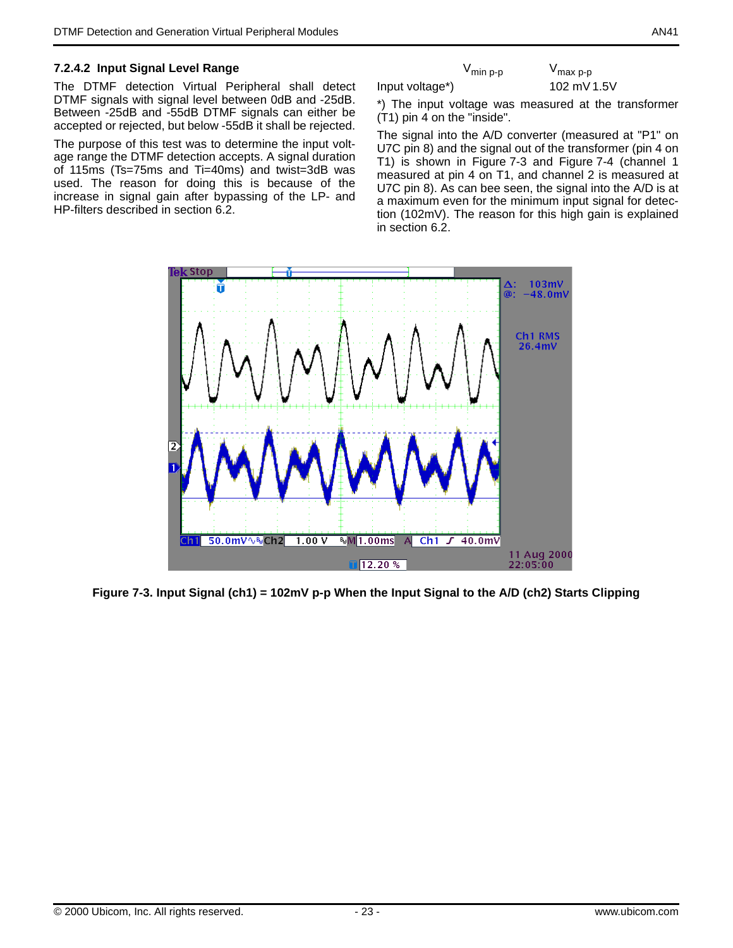#### **7.2.4.2 Input Signal Level Range**

The DTMF detection Virtual Peripheral shall detect DTMF signals with signal level between 0dB and -25dB. Between -25dB and -55dB DTMF signals can either be accepted or rejected, but below -55dB it shall be rejected.

The purpose of this test was to determine the input voltage range the DTMF detection accepts. A signal duration of 115ms (Ts=75ms and Ti=40ms) and twist=3dB was used. The reason for doing this is because of the increase in signal gain after bypassing of the LP- and HP-filters described in section 6.2.

V<sub>min p-p</sub> V<sub>max p-p</sub> Input voltage\*) 102 mV 1.5V

\*) The input voltage was measured at the transformer (T1) pin 4 on the "inside".

The signal into the A/D converter (measured at "P1" on U7C pin 8) and the signal out of the transformer (pin 4 on T1) is shown in [Figure 7-3](#page-22-0) and [Figure 7-4](#page-23-0) (channel 1 measured at pin 4 on T1, and channel 2 is measured at U7C pin 8). As can bee seen, the signal into the A/D is at a maximum even for the minimum input signal for detection (102mV). The reason for this high gain is explained in section 6.2.



<span id="page-22-0"></span>**Figure 7-3. Input Signal (ch1) = 102mV p-p When the Input Signal to the A/D (ch2) Starts Clipping**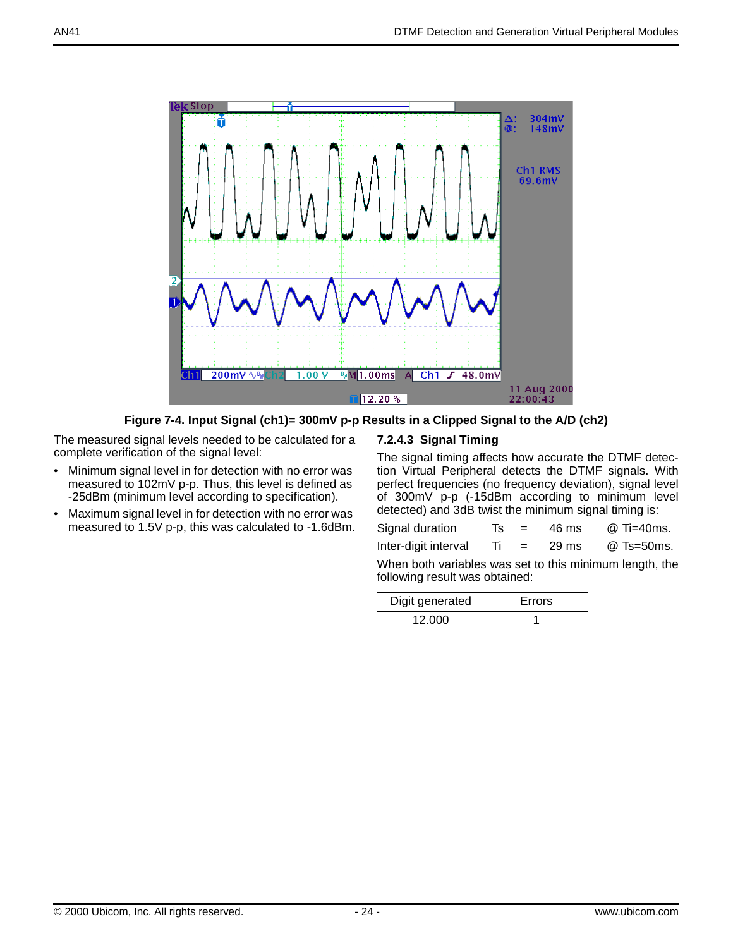

**Figure 7-4. Input Signal (ch1)= 300mV p-p Results in a Clipped Signal to the A/D (ch2)** 

<span id="page-23-0"></span>The measured signal levels needed to be calculated for a complete verification of the signal level:

- Minimum signal level in for detection with no error was measured to 102mV p-p. Thus, this level is defined as -25dBm (minimum level according to specification).
- Maximum signal level in for detection with no error was measured to 1.5V p-p, this was calculated to -1.6dBm.

## **7.2.4.3 Signal Timing**

The signal timing affects how accurate the DTMF detection Virtual Peripheral detects the DTMF signals. With perfect frequencies (no frequency deviation), signal level of 300mV p-p (-15dBm according to minimum level detected) and 3dB twist the minimum signal timing is:

| Signal duration      |  | 46 ms           | @ Ti=40ms. |
|----------------------|--|-----------------|------------|
| Inter-digit interval |  | $29 \text{ ms}$ | @ Ts=50ms. |

When both variables was set to this minimum length, the following result was obtained:

| Digit generated | Errors |
|-----------------|--------|
| 12.000          |        |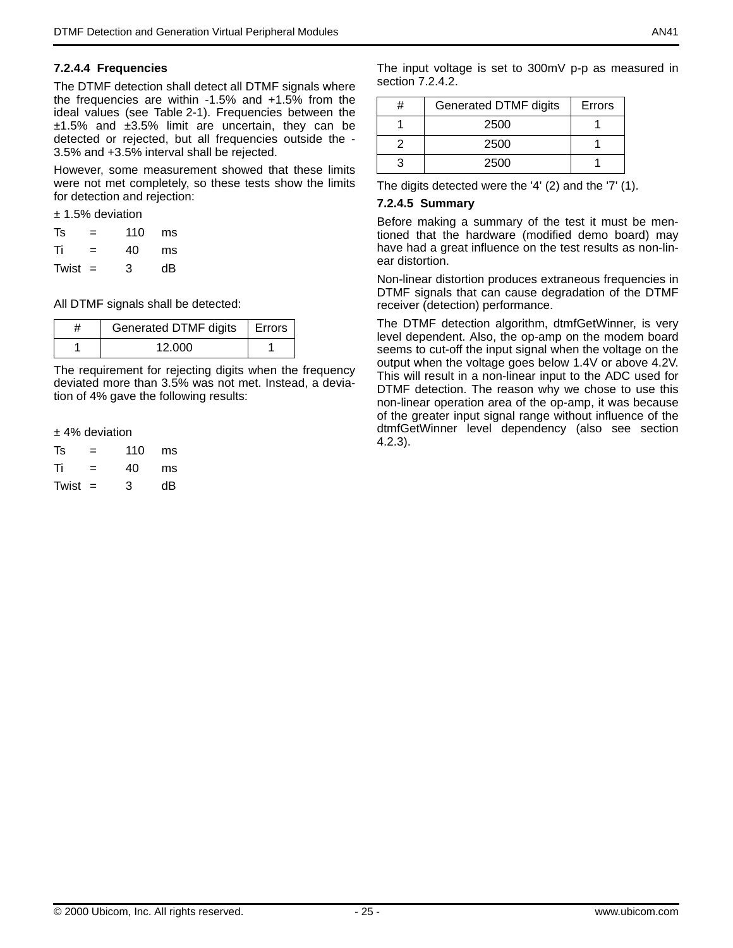#### **7.2.4.4 Frequencies**

The DTMF detection shall detect all DTMF signals where the frequencies are within -1.5% and +1.5% from the ideal values (see [Table 2-1\)](#page-0-0). Frequencies between the  $±1.5%$  and  $±3.5%$  limit are uncertain, they can be detected or rejected, but all frequencies outside the - 3.5% and +3.5% interval shall be rejected.

However, some measurement showed that these limits were not met completely, so these tests show the limits for detection and rejection:

± 1.5% deviation

| Ts        | = | 110 | ms |
|-----------|---|-----|----|
| Τi        | = | 40  | ms |
| Twist $=$ |   | 3   | dΒ |

All DTMF signals shall be detected:

| Generated DTMF digits | l Errors |
|-----------------------|----------|
| 12 000                |          |

The requirement for rejecting digits when the frequency deviated more than 3.5% was not met. Instead, a deviation of 4% gave the following results:

#### $±$  4% deviation

| Ts        | =   | 110 | ms |
|-----------|-----|-----|----|
| Τi        | $=$ | 40  | ms |
| Twist $=$ |     | 3   | dΒ |

The input voltage is set to 300mV p-p as measured in section 7.2.4.2.

| н | <b>Generated DTMF digits</b> | Errors |
|---|------------------------------|--------|
|   | 2500                         |        |
|   | 2500                         |        |
|   | 2500                         |        |

The digits detected were the '4' (2) and the '7' (1).

#### **7.2.4.5 Summary**

Before making a summary of the test it must be mentioned that the hardware (modified demo board) may have had a great influence on the test results as non-linear distortion.

Non-linear distortion produces extraneous frequencies in DTMF signals that can cause degradation of the DTMF receiver (detection) performance.

The DTMF detection algorithm, dtmfGetWinner, is very level dependent. Also, the op-amp on the modem board seems to cut-off the input signal when the voltage on the output when the voltage goes below 1.4V or above 4.2V. This will result in a non-linear input to the ADC used for DTMF detection. The reason why we chose to use this non-linear operation area of the op-amp, it was because of the greater input signal range without influence of the dtmfGetWinner level dependency (also see section 4.2.3).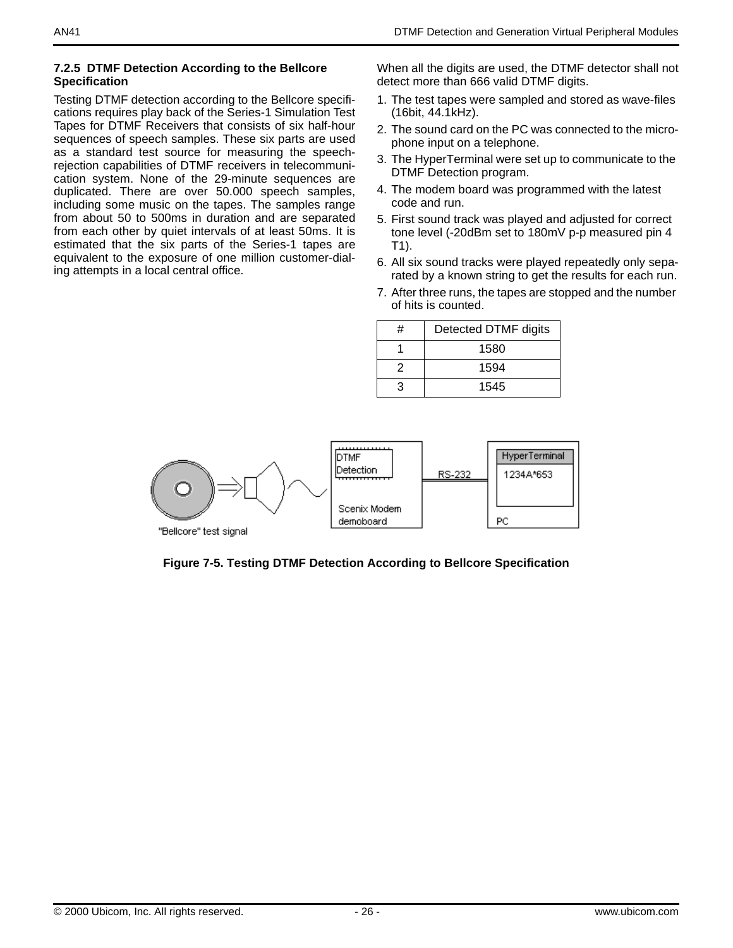#### **7.2.5 DTMF Detection According to the Bellcore Specification**

Testing DTMF detection according to the Bellcore specifications requires play back of the Series-1 Simulation Test Tapes for DTMF Receivers that consists of six half-hour sequences of speech samples. These six parts are used as a standard test source for measuring the speechrejection capabilities of DTMF receivers in telecommunication system. None of the 29-minute sequences are duplicated. There are over 50.000 speech samples, including some music on the tapes. The samples range from about 50 to 500ms in duration and are separated from each other by quiet intervals of at least 50ms. It is estimated that the six parts of the Series-1 tapes are equivalent to the exposure of one million customer-dialing attempts in a local central office.

When all the digits are used, the DTMF detector shall not detect more than 666 valid DTMF digits.

- 1. The test tapes were sampled and stored as wave-files (16bit, 44.1kHz).
- 2. The sound card on the PC was connected to the microphone input on a telephone.
- 3. The HyperTerminal were set up to communicate to the DTMF Detection program.
- 4. The modem board was programmed with the latest code and run.
- 5. First sound track was played and adjusted for correct tone level (-20dBm set to 180mV p-p measured pin 4 T1).
- 6. All six sound tracks were played repeatedly only separated by a known string to get the results for each run.
- 7. After three runs, the tapes are stopped and the number of hits is counted.

| # | Detected DTMF digits |
|---|----------------------|
|   | 1580                 |
|   | 1594                 |
| З | 1545                 |



**Figure 7-5. Testing DTMF Detection According to Bellcore Specification**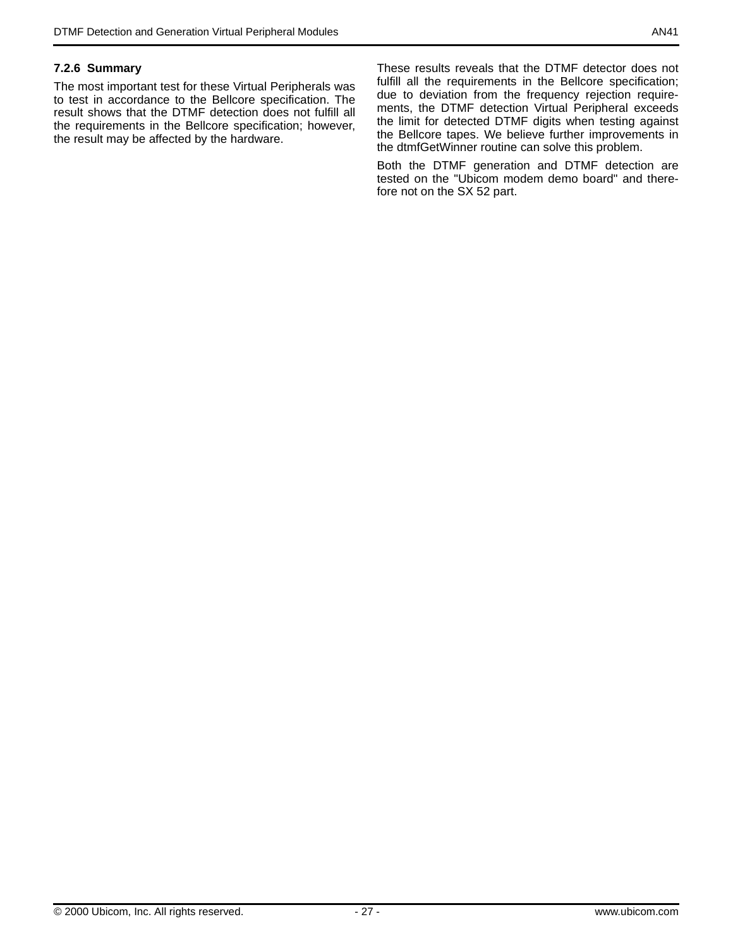#### **7.2.6 Summary**

The most important test for these Virtual Peripherals was to test in accordance to the Bellcore specification. The result shows that the DTMF detection does not fulfill all the requirements in the Bellcore specification; however, the result may be affected by the hardware.

These results reveals that the DTMF detector does not fulfill all the requirements in the Bellcore specification; due to deviation from the frequency rejection requirements, the DTMF detection Virtual Peripheral exceeds the limit for detected DTMF digits when testing against the Bellcore tapes. We believe further improvements in the dtmfGetWinner routine can solve this problem.

Both the DTMF generation and DTMF detection are tested on the "Ubicom modem demo board" and therefore not on the SX 52 part.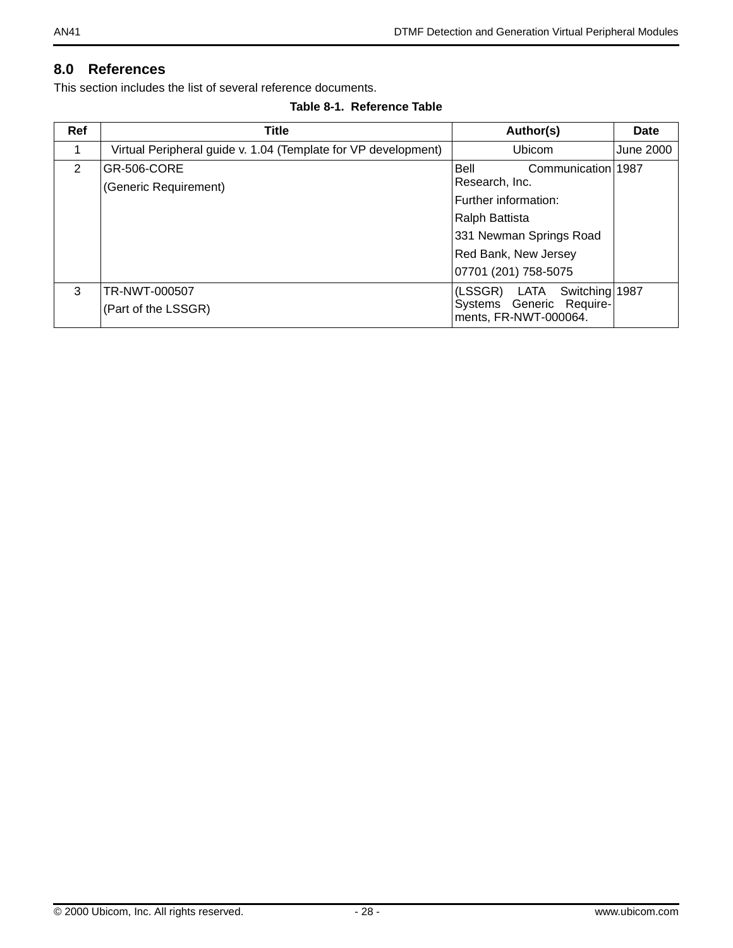## **8.0 References**

This section includes the list of several reference documents.

**Table 8-1. Reference Table**

| Ref | <b>Title</b>                                                   | Author(s)                                                                                                                                                         | Date      |
|-----|----------------------------------------------------------------|-------------------------------------------------------------------------------------------------------------------------------------------------------------------|-----------|
|     | Virtual Peripheral guide v. 1.04 (Template for VP development) | Ubicom                                                                                                                                                            | June 2000 |
| 2   | GR-506-CORE<br>(Generic Requirement)                           | Bell<br>Communication 1987<br>Research, Inc.<br>Further information:<br>Ralph Battista<br>331 Newman Springs Road<br>Red Bank, New Jersey<br>07701 (201) 758-5075 |           |
| 3   | TR-NWT-000507<br>(Part of the LSSGR)                           | (LSSGR)<br>LATA<br>Switching 1987<br>Systems Generic Require-<br>ments, FR-NWT-000064.                                                                            |           |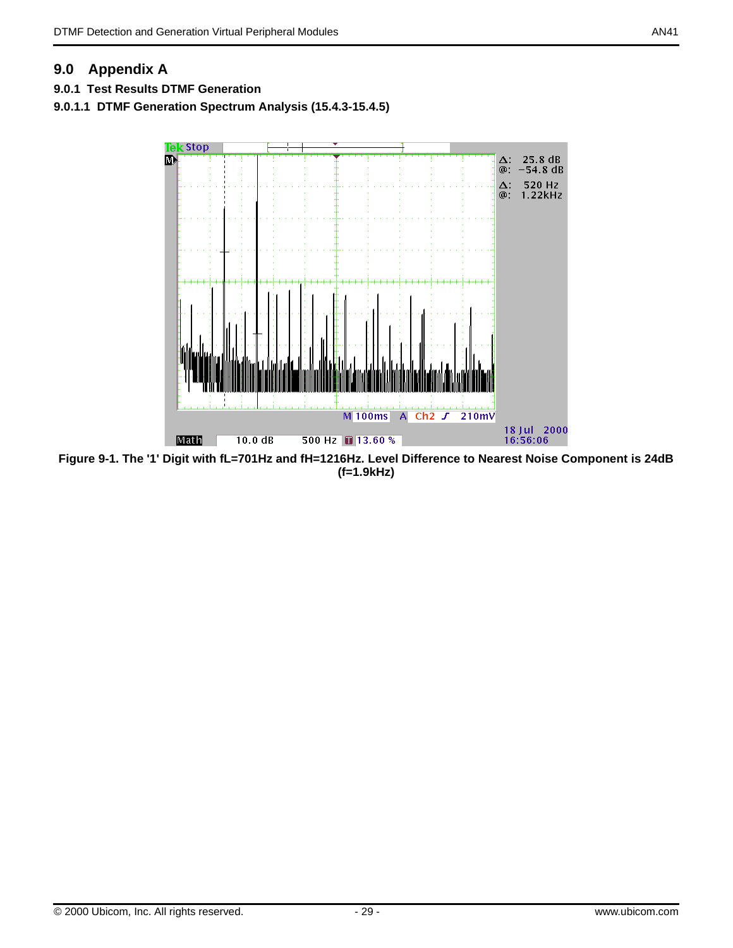## **9.0 Appendix A**

- **9.0.1 Test Results DTMF Generation**
- **9.0.1.1 DTMF Generation Spectrum Analysis (15.4.3-15.4.5)**



<span id="page-28-0"></span>**Figure 9-1. The '1' Digit with fL=701Hz and fH=1216Hz. Level Difference to Nearest Noise Component is 24dB (f=1.9kHz)**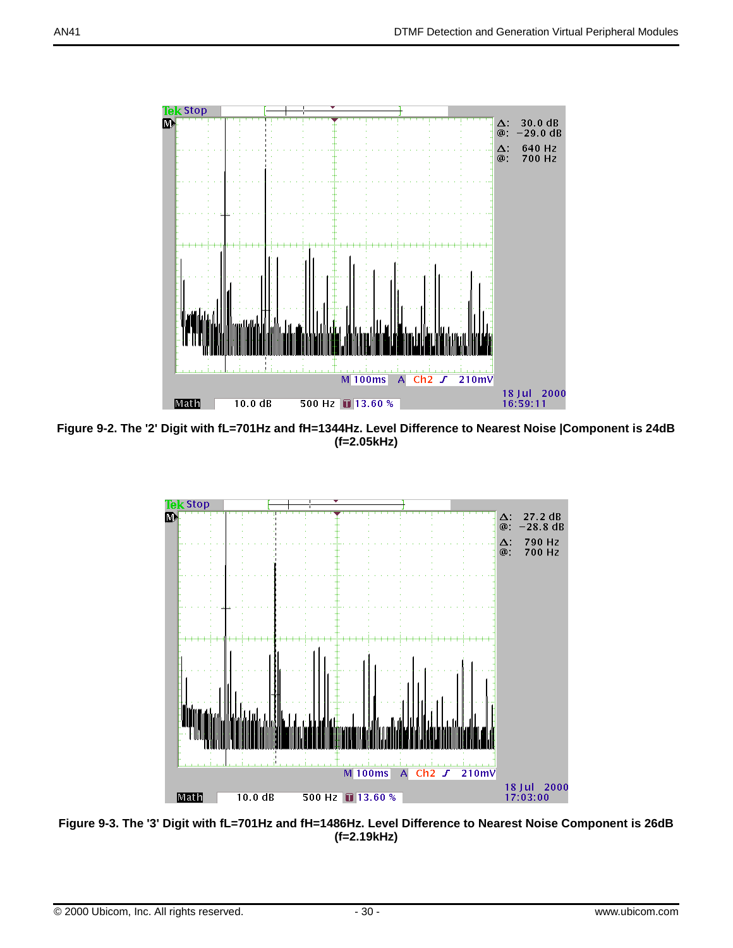

**Figure 9-2. The '2' Digit with fL=701Hz and fH=1344Hz. Level Difference to Nearest Noise |Component is 24dB (f=2.05kHz)**



**Figure 9-3. The '3' Digit with fL=701Hz and fH=1486Hz. Level Difference to Nearest Noise Component is 26dB (f=2.19kHz)**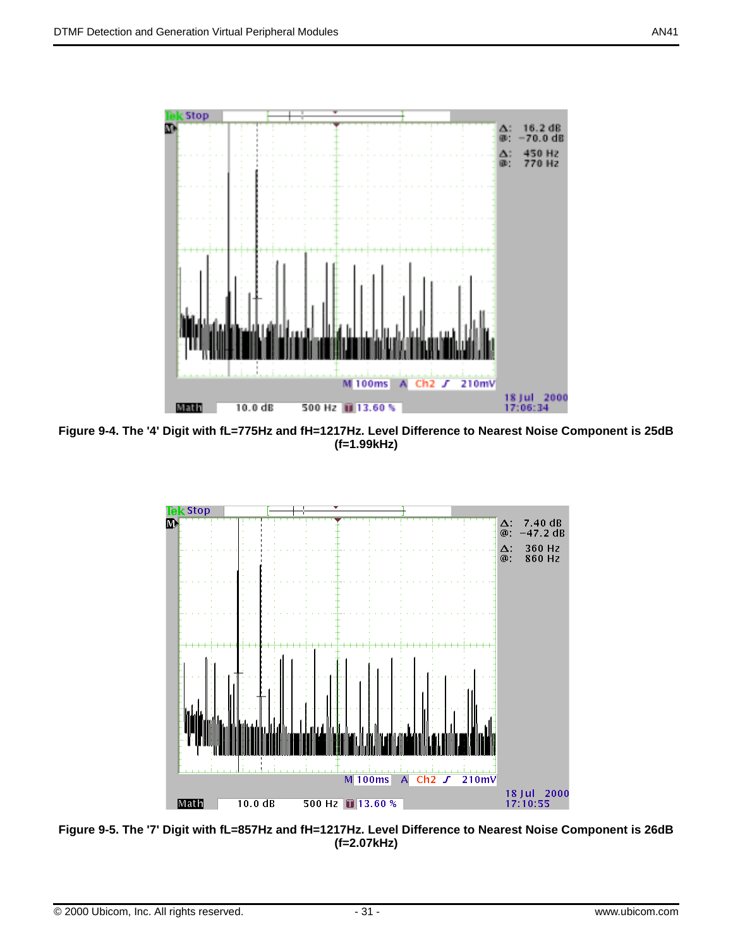

**Figure 9-4. The '4' Digit with fL=775Hz and fH=1217Hz. Level Difference to Nearest Noise Component is 25dB (f=1.99kHz)**



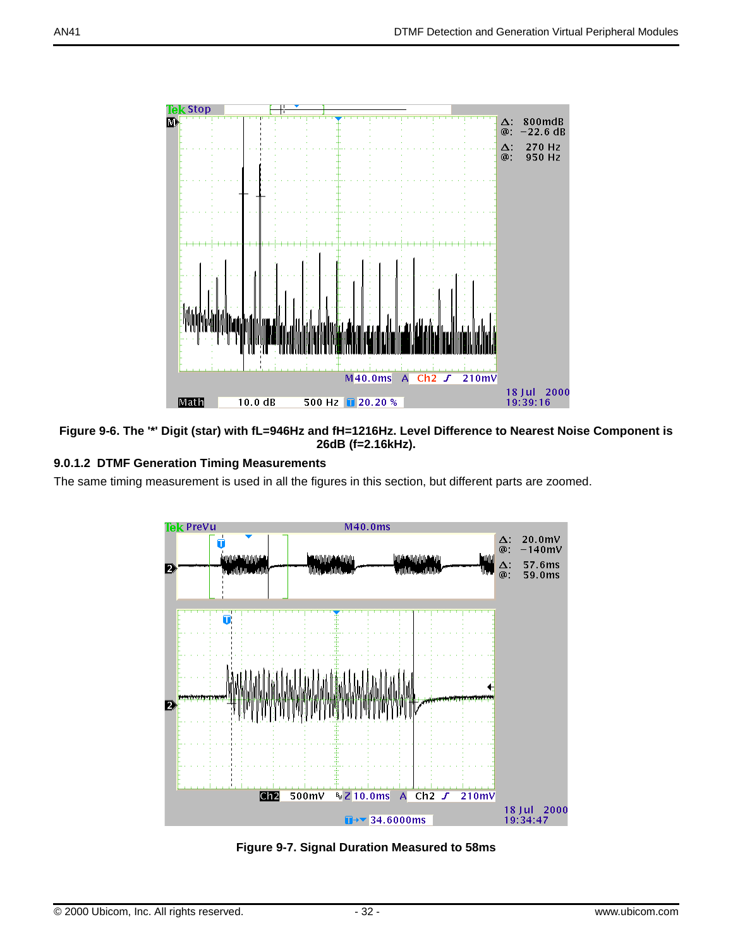

#### <span id="page-31-0"></span>**Figure 9-6. The '\*' Digit (star) with fL=946Hz and fH=1216Hz. Level Difference to Nearest Noise Component is 26dB (f=2.16kHz).**

## **9.0.1.2 DTMF Generation Timing Measurements**

The same timing measurement is used in all the figures in this section, but different parts are zoomed.



<span id="page-31-1"></span>**Figure 9-7. Signal Duration Measured to 58ms**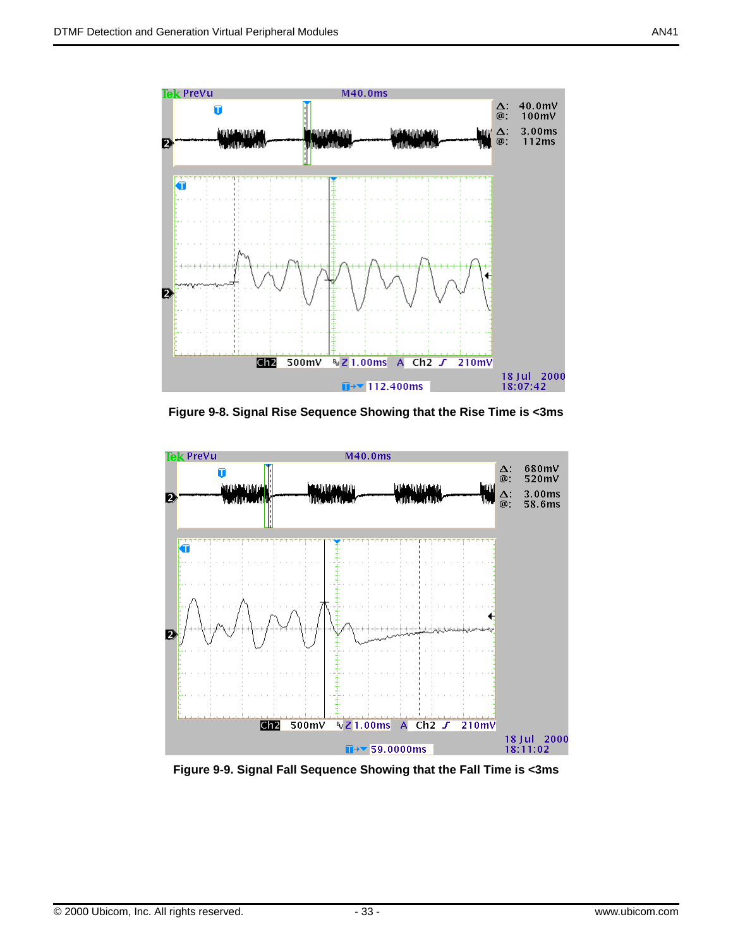

**Figure 9-8. Signal Rise Sequence Showing that the Rise Time is <3ms**



**Figure 9-9. Signal Fall Sequence Showing that the Fall Time is <3ms**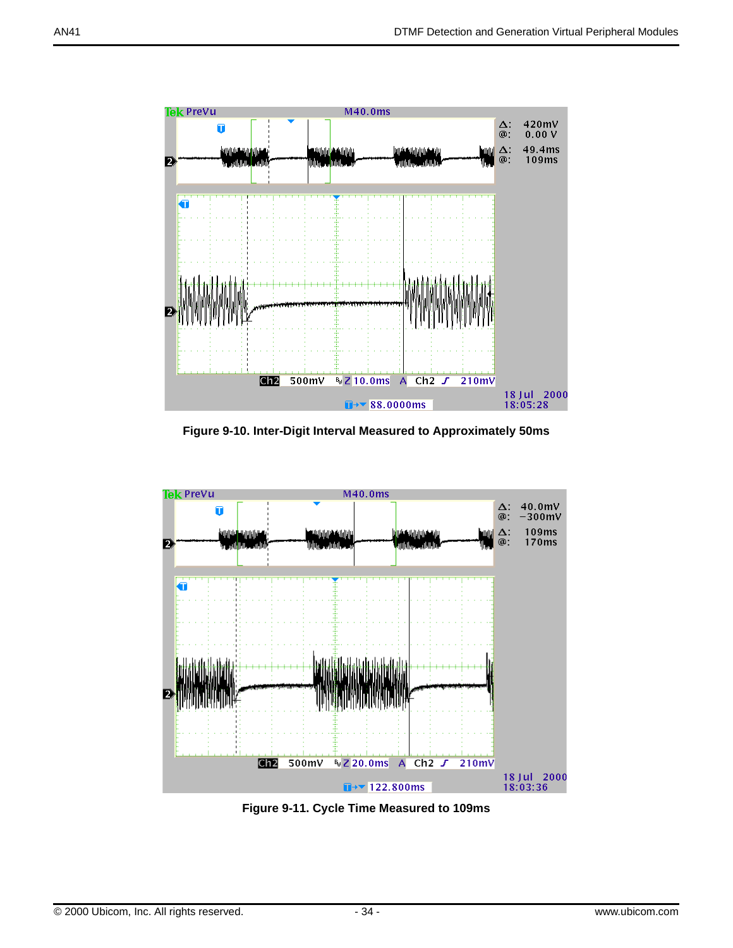

**Figure 9-10. Inter-Digit Interval Measured to Approximately 50ms**



<span id="page-33-0"></span>**Figure 9-11. Cycle Time Measured to 109ms**